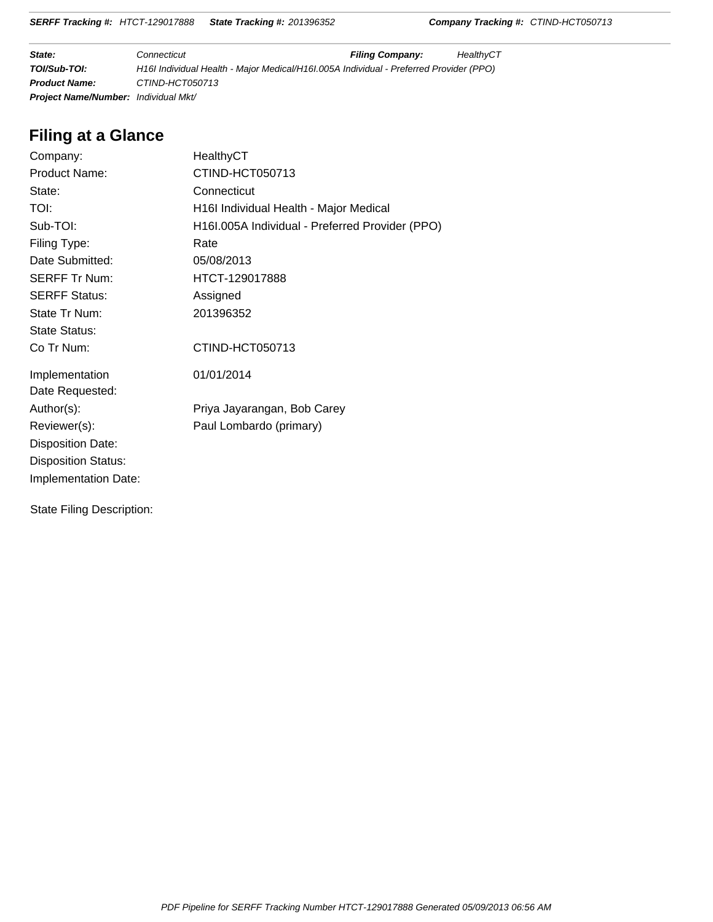**SERFF Tracking #:** HTCT-129017888 **State Tracking #:** 201396352 **Company Tracking #:** CTIND-HCT050713

**State: Filing Connecticut Filing Company:** HealthyCT **TOI/Sub-TOI:** H16I Individual Health - Major Medical/H16I.005A Individual - Preferred Provider (PPO) **Product Name:** CTIND-HCT050713 **Project Name/Number:** Individual Mkt/

# **Filing at a Glance**

| Company:                   | HealthyCT                                       |
|----------------------------|-------------------------------------------------|
| <b>Product Name:</b>       | CTIND-HCT050713                                 |
| State:                     | Connecticut                                     |
| TOI:                       | H16I Individual Health - Major Medical          |
| Sub-TOI:                   | H16I.005A Individual - Preferred Provider (PPO) |
| Filing Type:               | Rate                                            |
| Date Submitted:            | 05/08/2013                                      |
| <b>SERFF Tr Num:</b>       | HTCT-129017888                                  |
| <b>SERFF Status:</b>       | Assigned                                        |
| State Tr Num:              | 201396352                                       |
| <b>State Status:</b>       |                                                 |
| Co Tr Num:                 | CTIND-HCT050713                                 |
| Implementation             | 01/01/2014                                      |
| Date Requested:            |                                                 |
| Author(s):                 | Priya Jayarangan, Bob Carey                     |
| Reviewer(s):               | Paul Lombardo (primary)                         |
| <b>Disposition Date:</b>   |                                                 |
| <b>Disposition Status:</b> |                                                 |
| Implementation Date:       |                                                 |
|                            |                                                 |

State Filing Description: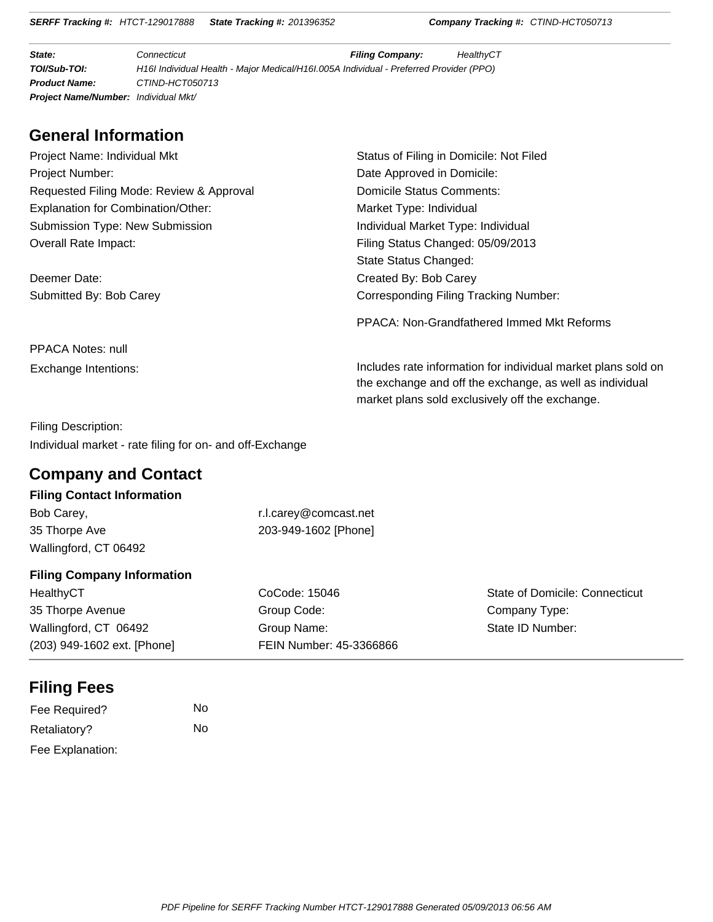**SERFF Tracking #:** HTCT-129017888 **State Tracking #:** 201396352 **Company Tracking #:** CTIND-HCT050713

**State: Filing Connecticut Filing Company:** HealthyCT **TOI/Sub-TOI:** H16I Individual Health - Major Medical/H16I.005A Individual - Preferred Provider (PPO) **Product Name:** CTIND-HCT050713 **Project Name/Number:** Individual Mkt/

# **General Information**

| Project Name: Individual Mkt             | Status         |
|------------------------------------------|----------------|
| <b>Project Number:</b>                   | Date $\lambda$ |
| Requested Filing Mode: Review & Approval | Domio          |
| Explanation for Combination/Other:       | Marke          |
| <b>Submission Type: New Submission</b>   | Indivio        |
| Overall Rate Impact:                     | Filing         |
|                                          | State          |
|                                          |                |

Deemer Date: Created By: Bob Carey

s of Filing in Domicile: Not Filed Approved in Domicile: cile Status Comments: et Type: Individual dual Market Type: Individual Status Changed: 05/09/2013 Status Changed: Submitted By: Bob Carey **Corresponding Filing Tracking Number:** 

PPACA: Non-Grandfathered Immed Mkt Reforms

PPACA Notes: null

Exchange Intentions: **Includes rate information for individual market plans sold on** the exchange and off the exchange, as well as individual market plans sold exclusively off the exchange.

Filing Description: Individual market - rate filing for on- and off-Exchange

# **Company and Contact**

#### **Filing Contact Information**

| Bob Carey,            |
|-----------------------|
| 35 Thorpe Ave         |
| Wallingford, CT 06492 |

r.l.carey@comcast.net 203-949-1602 [Phone]

#### **Filing Company Information**

HealthyCT 35 Thorpe Avenue Wallingford, CT 06492 (203) 949-1602 ext. [Phone] CoCode: 15046 Group Code: Group Name: FEIN Number: 45-3366866

State of Domicile: Connecticut Company Type: State ID Number:

# **Filing Fees**

| Fee Required?    | No |
|------------------|----|
| Retaliatory?     | No |
| Fee Explanation: |    |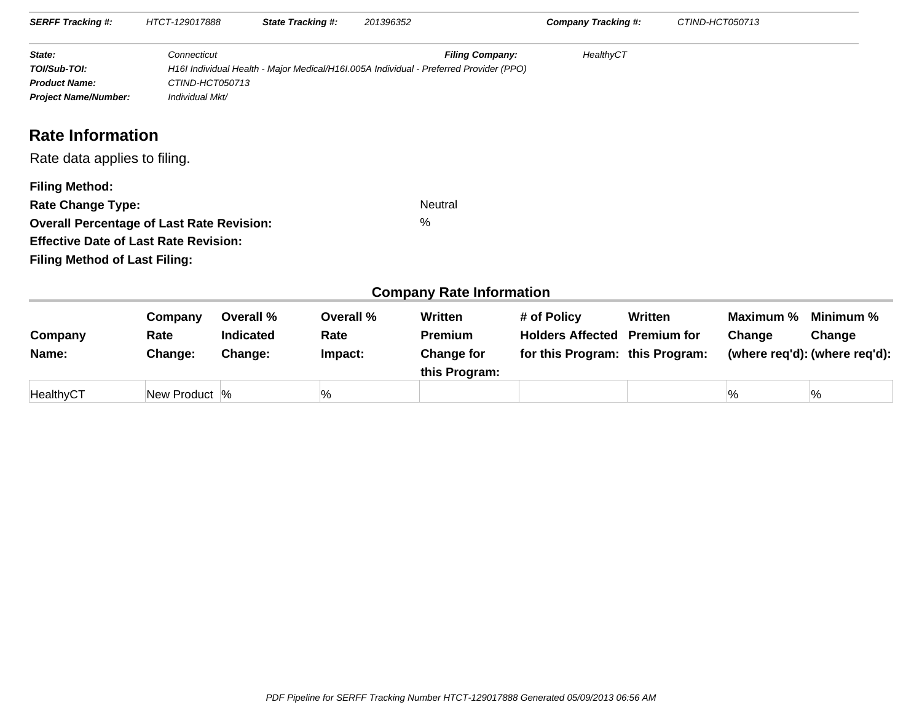| <b>SERFF Tracking #:</b>                                                                                                                                                                      | HTCT-129017888                                    |                                          | <b>State Tracking #:</b>     | 201396352 |                                                                                                                  | <b>Company Tracking #:</b>                                                |                               | CTIND-HCT050713     |                                                      |
|-----------------------------------------------------------------------------------------------------------------------------------------------------------------------------------------------|---------------------------------------------------|------------------------------------------|------------------------------|-----------|------------------------------------------------------------------------------------------------------------------|---------------------------------------------------------------------------|-------------------------------|---------------------|------------------------------------------------------|
| State:<br>TOI/Sub-TOI:<br><b>Product Name:</b><br><b>Project Name/Number:</b>                                                                                                                 | Connecticut<br>CTIND-HCT050713<br>Individual Mkt/ |                                          |                              |           | <b>Filing Company:</b><br>H16I Individual Health - Major Medical/H16I.005A Individual - Preferred Provider (PPO) | HealthyCT                                                                 |                               |                     |                                                      |
| <b>Rate Information</b>                                                                                                                                                                       |                                                   |                                          |                              |           |                                                                                                                  |                                                                           |                               |                     |                                                      |
| Rate data applies to filing.                                                                                                                                                                  |                                                   |                                          |                              |           |                                                                                                                  |                                                                           |                               |                     |                                                      |
| <b>Filing Method:</b><br><b>Rate Change Type:</b><br><b>Overall Percentage of Last Rate Revision:</b><br><b>Effective Date of Last Rate Revision:</b><br><b>Filing Method of Last Filing:</b> |                                                   |                                          |                              |           | <b>Neutral</b><br>$\%$                                                                                           |                                                                           |                               |                     |                                                      |
|                                                                                                                                                                                               |                                                   |                                          |                              |           | <b>Company Rate Information</b>                                                                                  |                                                                           |                               |                     |                                                      |
| Company<br>Name:                                                                                                                                                                              | Company<br>Rate<br>Change:                        | Overall %<br><b>Indicated</b><br>Change: | Overall %<br>Rate<br>Impact: |           | Written<br><b>Premium</b><br><b>Change for</b><br>this Program:                                                  | # of Policy<br><b>Holders Affected</b><br>for this Program: this Program: | Written<br><b>Premium for</b> | Maximum %<br>Change | Minimum %<br>Change<br>(where req'd): (where req'd): |

%  $\hspace{1.6cm}$  %  $\hspace{1.6cm}$  %  $\hspace{1.6cm}$  %  $\hspace{1.6cm}$  %

HealthyCT

New Product  $\frac{1}{6}$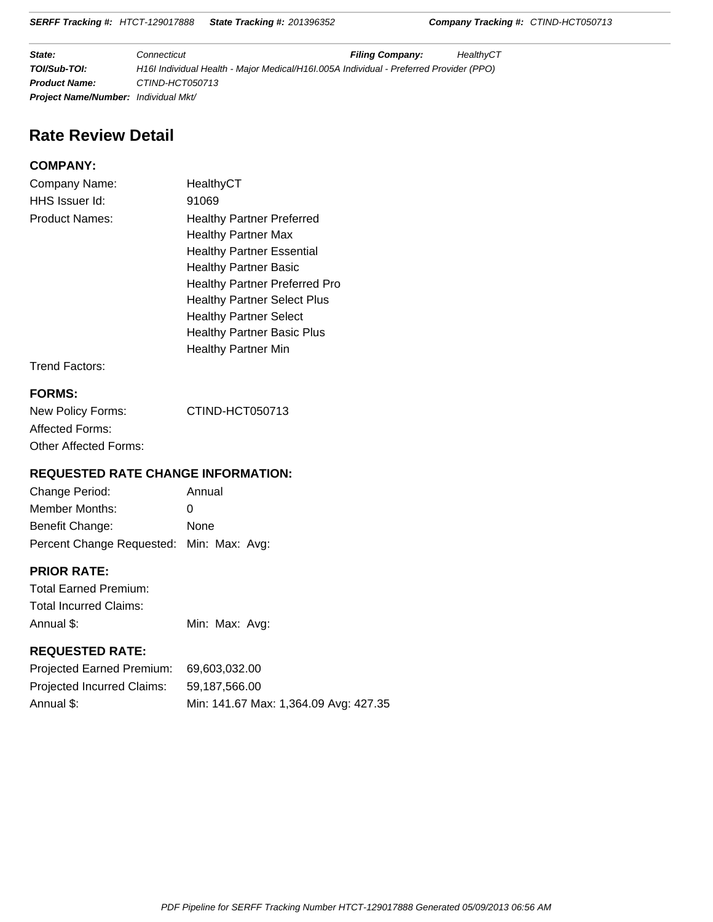**SERFF Tracking #:** HTCT-129017888 **State Tracking #:** 201396352 **Company Tracking #:** CTIND-HCT050713

**State: Filing Connecticut Filing Company:** HealthyCT **TOI/Sub-TOI:** H16I Individual Health - Major Medical/H16I.005A Individual - Preferred Provider (PPO) **Product Name:** CTIND-HCT050713 **Project Name/Number:** Individual Mkt/

# **Rate Review Detail**

#### **COMPANY:**

| Company Name:         | HealthyCT                            |
|-----------------------|--------------------------------------|
| HHS Issuer Id:        | 91069                                |
| <b>Product Names:</b> | <b>Healthy Partner Preferred</b>     |
|                       | <b>Healthy Partner Max</b>           |
|                       | <b>Healthy Partner Essential</b>     |
|                       | <b>Healthy Partner Basic</b>         |
|                       | <b>Healthy Partner Preferred Pro</b> |
|                       | <b>Healthy Partner Select Plus</b>   |
|                       | <b>Healthy Partner Select</b>        |
|                       | <b>Healthy Partner Basic Plus</b>    |
|                       | Healthy Partner Min                  |
|                       |                                      |

Trend Factors:

#### **FORMS:**

| New Policy Forms:     | CTIND-HCT050713 |
|-----------------------|-----------------|
| Affected Forms:       |                 |
| Other Affected Forms: |                 |

#### **REQUESTED RATE CHANGE INFORMATION:**

| Change Period:                           | Annual |
|------------------------------------------|--------|
| Member Months:                           | 0      |
| Benefit Change:                          | None   |
| Percent Change Requested: Min: Max: Avg: |        |

#### **PRIOR RATE:**

Total Earned Premium: Total Incurred Claims: Annual \$: Min: Max: Avg:

#### **REQUESTED RATE:**

| Projected Earned Premium:  | 69.603.032.00                         |
|----------------------------|---------------------------------------|
| Projected Incurred Claims: | 59.187.566.00                         |
| Annual \$:                 | Min: 141.67 Max: 1,364.09 Avg: 427.35 |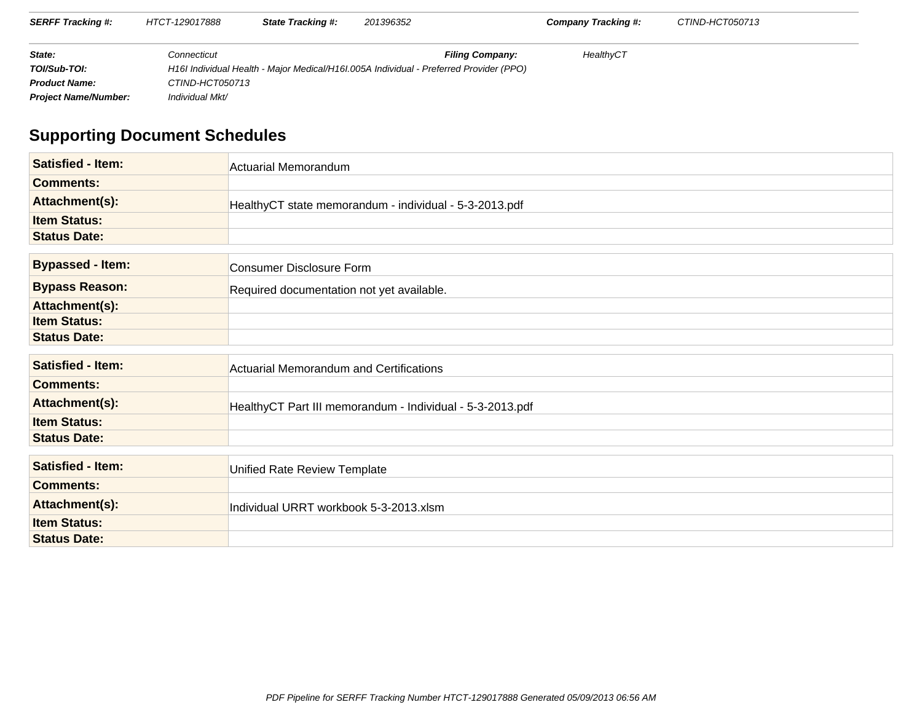| <b>SERFF Tracking #:</b>    | HTCT-129017888  | <b>State Tracking #:</b> | 201396352                                                                              |                        | Company Tracking #: | CTIND-HCT050713 |  |
|-----------------------------|-----------------|--------------------------|----------------------------------------------------------------------------------------|------------------------|---------------------|-----------------|--|
| State:                      | Connecticut     |                          |                                                                                        | <b>Filing Company:</b> | HealthyCT           |                 |  |
| TOI/Sub-TOI:                |                 |                          | H16I Individual Health - Major Medical/H16I.005A Individual - Preferred Provider (PPO) |                        |                     |                 |  |
| <b>Product Name:</b>        | CTIND-HCT050713 |                          |                                                                                        |                        |                     |                 |  |
| <b>Project Name/Number:</b> | Individual Mkt/ |                          |                                                                                        |                        |                     |                 |  |

# **Supporting Document Schedules**

| <b>Satisfied - Item:</b> | Actuarial Memorandum                                      |
|--------------------------|-----------------------------------------------------------|
| <b>Comments:</b>         |                                                           |
| Attachment(s):           | HealthyCT state memorandum - individual - 5-3-2013.pdf    |
| <b>Item Status:</b>      |                                                           |
| <b>Status Date:</b>      |                                                           |
|                          |                                                           |
| <b>Bypassed - Item:</b>  | Consumer Disclosure Form                                  |
| <b>Bypass Reason:</b>    | Required documentation not yet available.                 |
| Attachment(s):           |                                                           |
| <b>Item Status:</b>      |                                                           |
| <b>Status Date:</b>      |                                                           |
|                          |                                                           |
| <b>Satisfied - Item:</b> | <b>Actuarial Memorandum and Certifications</b>            |
| <b>Comments:</b>         |                                                           |
| Attachment(s):           | HealthyCT Part III memorandum - Individual - 5-3-2013.pdf |
| <b>Item Status:</b>      |                                                           |
| <b>Status Date:</b>      |                                                           |
|                          |                                                           |
| <b>Satisfied - Item:</b> | Unified Rate Review Template                              |
| <b>Comments:</b>         |                                                           |
| Attachment(s):           | Individual URRT workbook 5-3-2013.xlsm                    |
| <b>Item Status:</b>      |                                                           |
| <b>Status Date:</b>      |                                                           |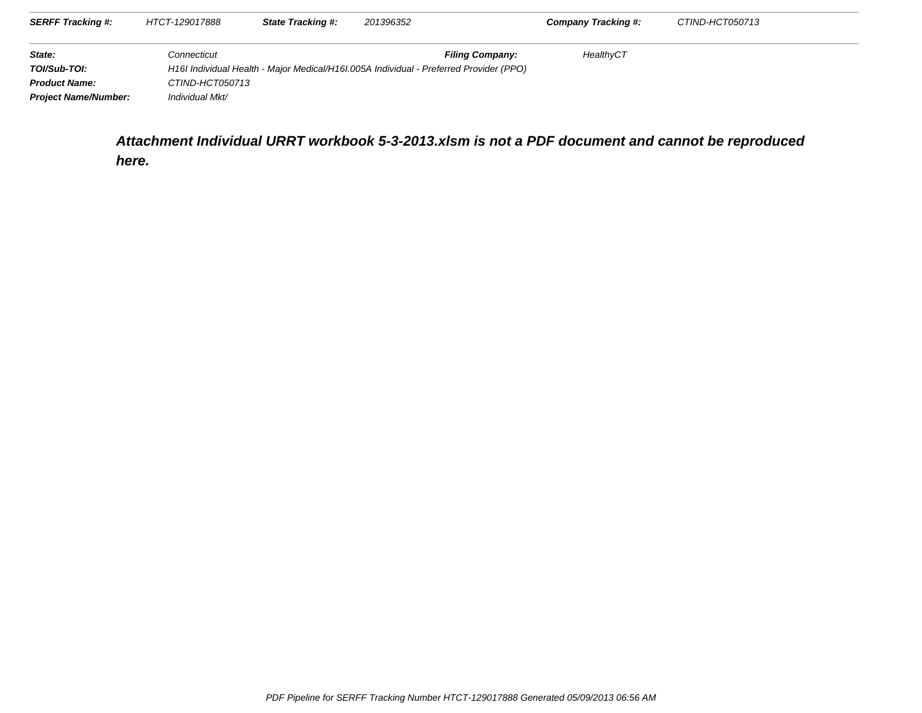| <b>SERFF Tracking #:</b>    | HTCT-129017888  | <b>State Tracking #:</b> | 201396352 |                                                                                        | Company Tracking #: | CTIND-HCT050713 |
|-----------------------------|-----------------|--------------------------|-----------|----------------------------------------------------------------------------------------|---------------------|-----------------|
| State:                      | Connecticut     |                          |           | <b>Filing Company:</b>                                                                 | HealthyCT           |                 |
| TOI/Sub-TOI:                |                 |                          |           | H16I Individual Health - Major Medical/H16I.005A Individual - Preferred Provider (PPO) |                     |                 |
| <b>Product Name:</b>        | CTIND-HCT050713 |                          |           |                                                                                        |                     |                 |
| <b>Project Name/Number:</b> | Individual Mkt/ |                          |           |                                                                                        |                     |                 |

**Attachment Individual URRT workbook 5-3-2013.xlsm is not a PDF document and cannot be reproducedhere.**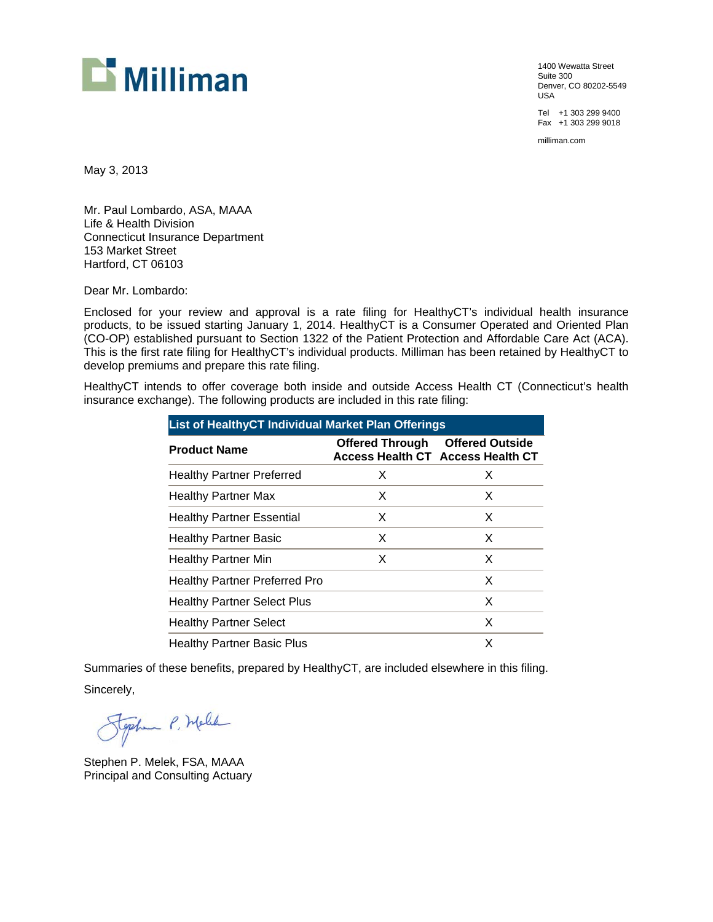

1400 Wewatta Street Suite 300 Denver, CO 80202-5549 USA

Tel +1 303 299 9400 Fax +1 303 299 9018

milliman.com

May 3, 2013

Mr. Paul Lombardo, ASA, MAAA Life & Health Division Connecticut Insurance Department 153 Market Street Hartford, CT 06103

Dear Mr. Lombardo:

Enclosed for your review and approval is a rate filing for HealthyCT's individual health insurance products, to be issued starting January 1, 2014. HealthyCT is a Consumer Operated and Oriented Plan (CO-OP) established pursuant to Section 1322 of the Patient Protection and Affordable Care Act (ACA). This is the first rate filing for HealthyCT's individual products. Milliman has been retained by HealthyCT to develop premiums and prepare this rate filing.

HealthyCT intends to offer coverage both inside and outside Access Health CT (Connecticut's health insurance exchange). The following products are included in this rate filing:

| <b>List of HealthyCT Individual Market Plan Offerings</b> |                        |                                                                    |
|-----------------------------------------------------------|------------------------|--------------------------------------------------------------------|
| <b>Product Name</b>                                       | <b>Offered Through</b> | <b>Offered Outside</b><br><b>Access Health CT Access Health CT</b> |
| <b>Healthy Partner Preferred</b>                          | X                      | X                                                                  |
| <b>Healthy Partner Max</b>                                | X                      | X                                                                  |
| <b>Healthy Partner Essential</b>                          | X                      | X                                                                  |
| <b>Healthy Partner Basic</b>                              | X                      | X                                                                  |
| Healthy Partner Min                                       | X                      | X                                                                  |
| <b>Healthy Partner Preferred Pro</b>                      |                        | X                                                                  |
| <b>Healthy Partner Select Plus</b>                        |                        | X                                                                  |
| <b>Healthy Partner Select</b>                             |                        | X                                                                  |
| <b>Healthy Partner Basic Plus</b>                         |                        | x                                                                  |

Summaries of these benefits, prepared by HealthyCT, are included elsewhere in this filing. Sincerely,

Stephen P. Melle

Stephen P. Melek, FSA, MAAA Principal and Consulting Actuary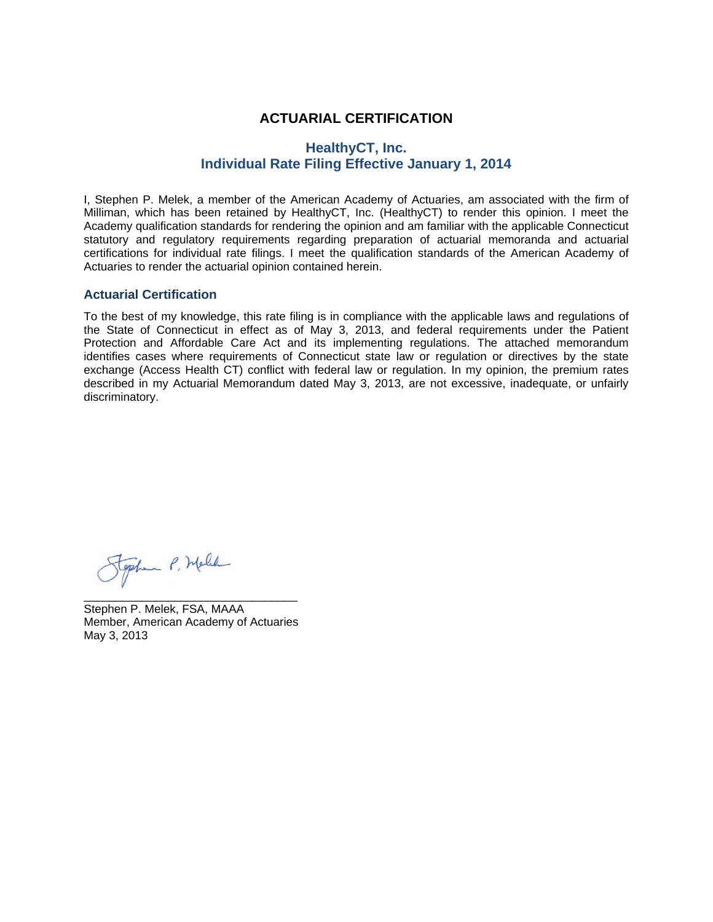#### **ACTUARIAL CERTIFICATION**

#### **HealthyCT, Inc. Individual Rate Filing Effective January 1, 2014**

I, Stephen P. Melek, a member of the American Academy of Actuaries, am associated with the firm of Milliman, which has been retained by HealthyCT, Inc. (HealthyCT) to render this opinion. I meet the Academy qualification standards for rendering the opinion and am familiar with the applicable Connecticut statutory and regulatory requirements regarding preparation of actuarial memoranda and actuarial certifications for individual rate filings. I meet the qualification standards of the American Academy of Actuaries to render the actuarial opinion contained herein.

#### **Actuarial Certification**

To the best of my knowledge, this rate filing is in compliance with the applicable laws and regulations of the State of Connecticut in effect as of May 3, 2013, and federal requirements under the Patient Protection and Affordable Care Act and its implementing regulations. The attached memorandum identifies cases where requirements of Connecticut state law or regulation or directives by the state exchange (Access Health CT) conflict with federal law or regulation. In my opinion, the premium rates described in my Actuarial Memorandum dated May 3, 2013, are not excessive, inadequate, or unfairly discriminatory.

Stephen P. Melle

Stephen P. Melek, FSA, MAAA Member, American Academy of Actuaries May 3, 2013

\_\_\_\_\_\_\_\_\_\_\_\_\_\_\_\_\_\_\_\_\_\_\_\_\_\_\_\_\_\_\_\_\_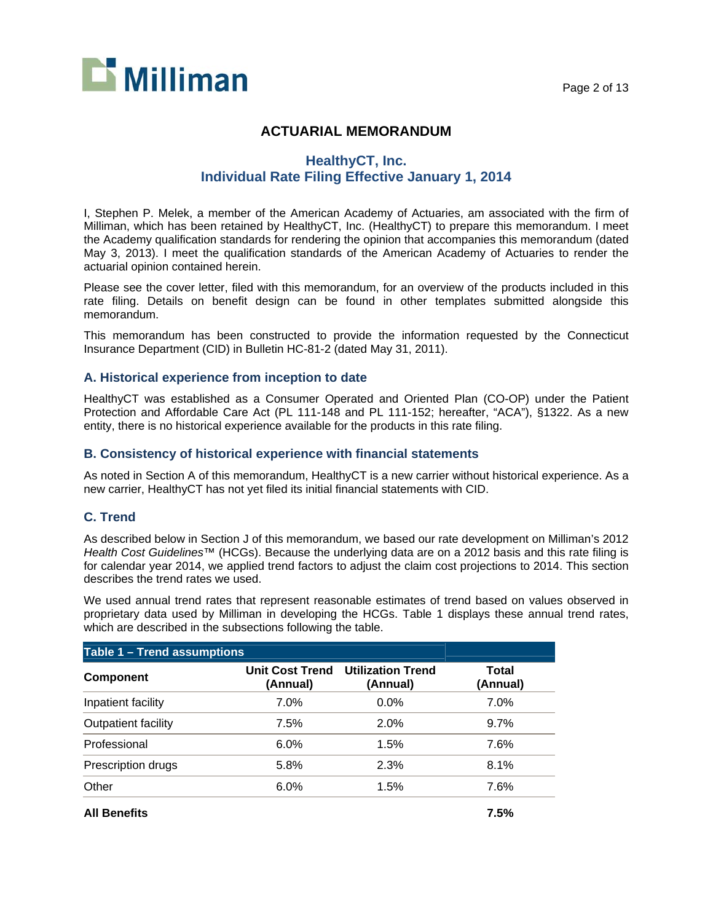

#### **ACTUARIAL MEMORANDUM**

#### **HealthyCT, Inc. Individual Rate Filing Effective January 1, 2014**

I, Stephen P. Melek, a member of the American Academy of Actuaries, am associated with the firm of Milliman, which has been retained by HealthyCT, Inc. (HealthyCT) to prepare this memorandum. I meet the Academy qualification standards for rendering the opinion that accompanies this memorandum (dated May 3, 2013). I meet the qualification standards of the American Academy of Actuaries to render the actuarial opinion contained herein.

Please see the cover letter, filed with this memorandum, for an overview of the products included in this rate filing. Details on benefit design can be found in other templates submitted alongside this memorandum.

This memorandum has been constructed to provide the information requested by the Connecticut Insurance Department (CID) in Bulletin HC-81-2 (dated May 31, 2011).

#### **A. Historical experience from inception to date**

HealthyCT was established as a Consumer Operated and Oriented Plan (CO-OP) under the Patient Protection and Affordable Care Act (PL 111-148 and PL 111-152; hereafter, "ACA"), §1322. As a new entity, there is no historical experience available for the products in this rate filing.

#### **B. Consistency of historical experience with financial statements**

As noted in Section A of this memorandum, HealthyCT is a new carrier without historical experience. As a new carrier, HealthyCT has not yet filed its initial financial statements with CID.

#### **C. Trend**

As described below in Section J of this memorandum, we based our rate development on Milliman's 2012 *Health Cost Guidelines™* (HCGs). Because the underlying data are on a 2012 basis and this rate filing is for calendar year 2014, we applied trend factors to adjust the claim cost projections to 2014. This section describes the trend rates we used.

We used annual trend rates that represent reasonable estimates of trend based on values observed in proprietary data used by Milliman in developing the HCGs. Table 1 displays these annual trend rates, which are described in the subsections following the table.

| Table 1 - Trend assumptions |                                    |                                      |                   |  |  |  |
|-----------------------------|------------------------------------|--------------------------------------|-------------------|--|--|--|
| <b>Component</b>            | <b>Unit Cost Trend</b><br>(Annual) | <b>Utilization Trend</b><br>(Annual) | Total<br>(Annual) |  |  |  |
| Inpatient facility          | 7.0%                               | 0.0%                                 | 7.0%              |  |  |  |
| Outpatient facility         | 7.5%                               | 2.0%                                 | 9.7%              |  |  |  |
| Professional                | 6.0%                               | 1.5%                                 | 7.6%              |  |  |  |
| Prescription drugs          | 5.8%                               | 2.3%                                 | 8.1%              |  |  |  |
| Other                       | 6.0%                               | 1.5%                                 | 7.6%              |  |  |  |

**All Benefits 7.5%**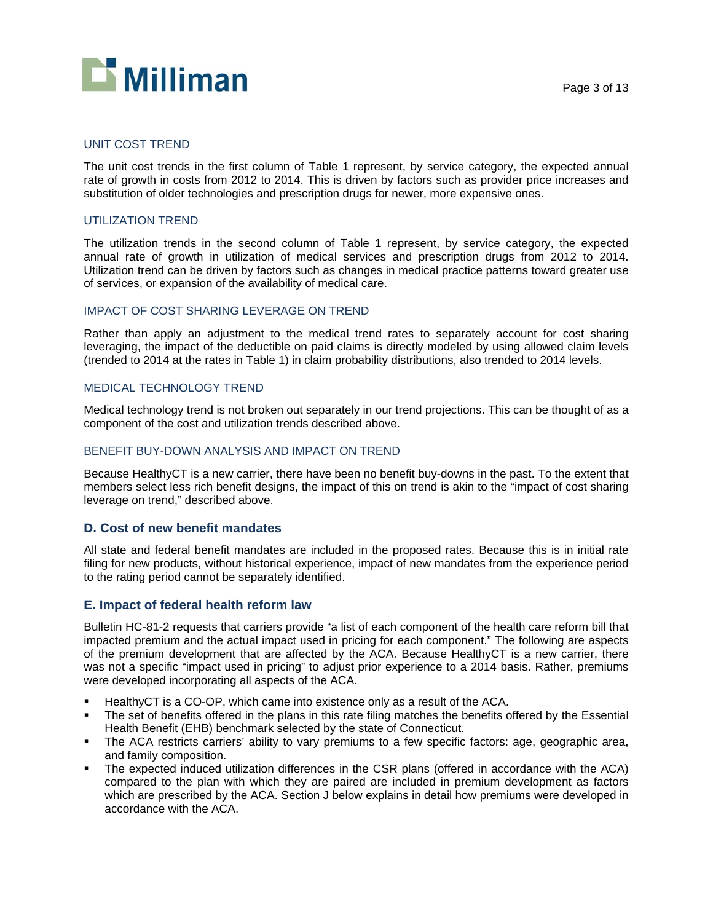

#### UNIT COST TREND

The unit cost trends in the first column of Table 1 represent, by service category, the expected annual rate of growth in costs from 2012 to 2014. This is driven by factors such as provider price increases and substitution of older technologies and prescription drugs for newer, more expensive ones.

#### UTILIZATION TREND

The utilization trends in the second column of Table 1 represent, by service category, the expected annual rate of growth in utilization of medical services and prescription drugs from 2012 to 2014. Utilization trend can be driven by factors such as changes in medical practice patterns toward greater use of services, or expansion of the availability of medical care.

#### IMPACT OF COST SHARING LEVERAGE ON TREND

Rather than apply an adjustment to the medical trend rates to separately account for cost sharing leveraging, the impact of the deductible on paid claims is directly modeled by using allowed claim levels (trended to 2014 at the rates in Table 1) in claim probability distributions, also trended to 2014 levels.

#### MEDICAL TECHNOLOGY TREND

Medical technology trend is not broken out separately in our trend projections. This can be thought of as a component of the cost and utilization trends described above.

#### BENEFIT BUY-DOWN ANALYSIS AND IMPACT ON TREND

Because HealthyCT is a new carrier, there have been no benefit buy-downs in the past. To the extent that members select less rich benefit designs, the impact of this on trend is akin to the "impact of cost sharing leverage on trend," described above.

#### **D. Cost of new benefit mandates**

All state and federal benefit mandates are included in the proposed rates. Because this is in initial rate filing for new products, without historical experience, impact of new mandates from the experience period to the rating period cannot be separately identified.

#### **E. Impact of federal health reform law**

Bulletin HC-81-2 requests that carriers provide "a list of each component of the health care reform bill that impacted premium and the actual impact used in pricing for each component." The following are aspects of the premium development that are affected by the ACA. Because HealthyCT is a new carrier, there was not a specific "impact used in pricing" to adjust prior experience to a 2014 basis. Rather, premiums were developed incorporating all aspects of the ACA.

- HealthyCT is a CO-OP, which came into existence only as a result of the ACA.
- **The set of benefits offered in the plans in this rate filing matches the benefits offered by the Essential** Health Benefit (EHB) benchmark selected by the state of Connecticut.
- The ACA restricts carriers' ability to vary premiums to a few specific factors: age, geographic area, and family composition.
- The expected induced utilization differences in the CSR plans (offered in accordance with the ACA) compared to the plan with which they are paired are included in premium development as factors which are prescribed by the ACA. Section J below explains in detail how premiums were developed in accordance with the ACA.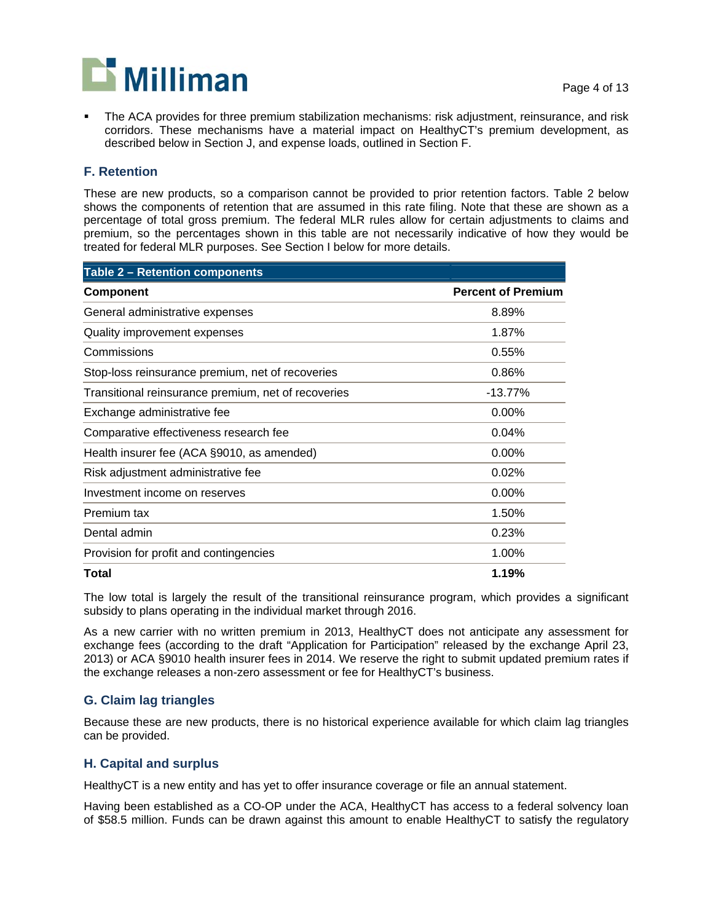

 The ACA provides for three premium stabilization mechanisms: risk adjustment, reinsurance, and risk corridors. These mechanisms have a material impact on HealthyCT's premium development, as described below in Section J, and expense loads, outlined in Section F.

#### **F. Retention**

These are new products, so a comparison cannot be provided to prior retention factors. Table 2 below shows the components of retention that are assumed in this rate filing. Note that these are shown as a percentage of total gross premium. The federal MLR rules allow for certain adjustments to claims and premium, so the percentages shown in this table are not necessarily indicative of how they would be treated for federal MLR purposes. See Section I below for more details.

| <b>Table 2 - Retention components</b>               |                           |
|-----------------------------------------------------|---------------------------|
| <b>Component</b>                                    | <b>Percent of Premium</b> |
| General administrative expenses                     | 8.89%                     |
| Quality improvement expenses                        | 1.87%                     |
| Commissions                                         | 0.55%                     |
| Stop-loss reinsurance premium, net of recoveries    | 0.86%                     |
| Transitional reinsurance premium, net of recoveries | $-13.77%$                 |
| Exchange administrative fee                         | $0.00\%$                  |
| Comparative effectiveness research fee              | 0.04%                     |
| Health insurer fee (ACA §9010, as amended)          | $0.00\%$                  |
| Risk adjustment administrative fee                  | 0.02%                     |
| Investment income on reserves                       | $0.00\%$                  |
| Premium tax                                         | 1.50%                     |
| Dental admin                                        | 0.23%                     |
| Provision for profit and contingencies              | 1.00%                     |
| Total                                               | 1.19%                     |

The low total is largely the result of the transitional reinsurance program, which provides a significant subsidy to plans operating in the individual market through 2016.

As a new carrier with no written premium in 2013, HealthyCT does not anticipate any assessment for exchange fees (according to the draft "Application for Participation" released by the exchange April 23, 2013) or ACA §9010 health insurer fees in 2014. We reserve the right to submit updated premium rates if the exchange releases a non-zero assessment or fee for HealthyCT's business.

#### **G. Claim lag triangles**

Because these are new products, there is no historical experience available for which claim lag triangles can be provided.

#### **H. Capital and surplus**

HealthyCT is a new entity and has yet to offer insurance coverage or file an annual statement.

Having been established as a CO-OP under the ACA, HealthyCT has access to a federal solvency loan of \$58.5 million. Funds can be drawn against this amount to enable HealthyCT to satisfy the regulatory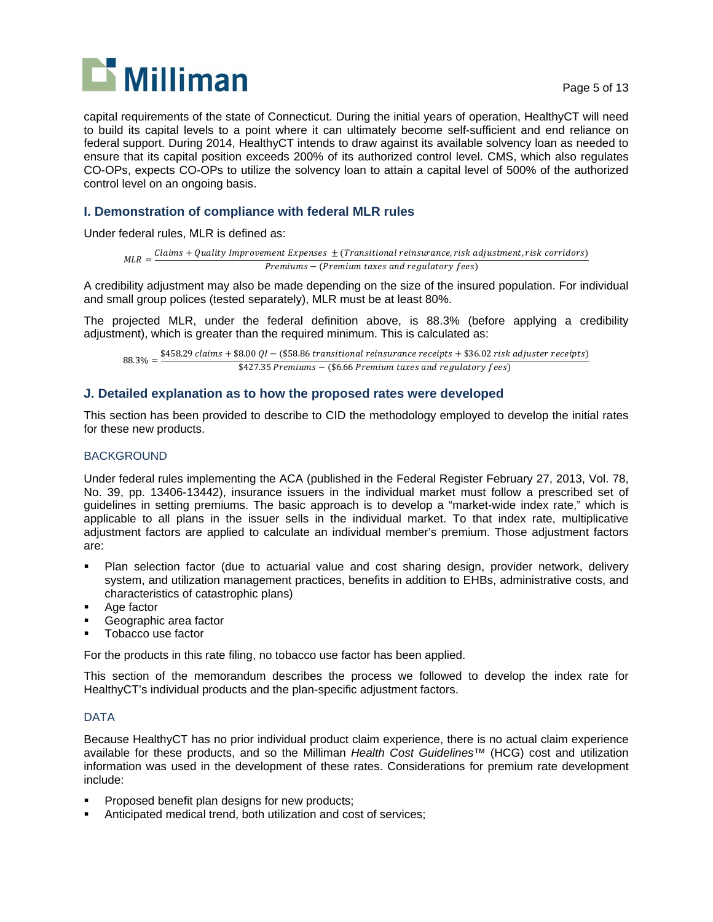

capital requirements of the state of Connecticut. During the initial years of operation, HealthyCT will need to build its capital levels to a point where it can ultimately become self-sufficient and end reliance on federal support. During 2014, HealthyCT intends to draw against its available solvency loan as needed to ensure that its capital position exceeds 200% of its authorized control level. CMS, which also regulates CO-OPs, expects CO-OPs to utilize the solvency loan to attain a capital level of 500% of the authorized control level on an ongoing basis.

#### **I. Demonstration of compliance with federal MLR rules**

Under federal rules, MLR is defined as:

 $MLR = \frac{Claims + Quality \, Improvement \, Expression \, t = \frac{r}{T}$  ,  $\frac{t}{T}$  ,  $\frac{t}{T}$  ,  $\frac{t}{T}$  ,  $\frac{t}{T}$  ,  $\frac{t}{T}$  ,  $\frac{t}{T}$  ,  $\frac{t}{T}$  ,  $\frac{t}{T}$  ,  $\frac{t}{T}$  ,  $\frac{t}{T}$  ,  $\frac{t}{T}$  ,  $\frac{t}{T}$  ,  $\frac{t}{T}$  ,  $\frac{t}{T}$  ,  $\frac{t}{T}$  ,  $\frac{t}{T$ Premiums – (Premium taxes and regulatory fees)

A credibility adjustment may also be made depending on the size of the insured population. For individual and small group polices (tested separately), MLR must be at least 80%.

The projected MLR, under the federal definition above, is 88.3% (before applying a credibility adjustment), which is greater than the required minimum. This is calculated as:

 $68.3\% = \frac{$458.29 \text{ claims} + $8.00 \text{ QI} - ($58.86 \text{ transitional reinsurance receipts} + $36.02 \text{ risk adjustment receipts}}{442.7 \text{ S} - $26.66 \text{ J} - $36.66 \text{ S} - $48.66 \text{ J}}$  $$427.35$  Premiums – (\$6.66 Premium taxes and regulatory fees)

#### **J. Detailed explanation as to how the proposed rates were developed**

This section has been provided to describe to CID the methodology employed to develop the initial rates for these new products.

#### BACKGROUND

Under federal rules implementing the ACA (published in the Federal Register February 27, 2013, Vol. 78, No. 39, pp. 13406-13442), insurance issuers in the individual market must follow a prescribed set of guidelines in setting premiums. The basic approach is to develop a "market-wide index rate," which is applicable to all plans in the issuer sells in the individual market. To that index rate, multiplicative adjustment factors are applied to calculate an individual member's premium. Those adjustment factors are:

- Plan selection factor (due to actuarial value and cost sharing design, provider network, delivery system, and utilization management practices, benefits in addition to EHBs, administrative costs, and characteristics of catastrophic plans)
- Age factor
- Geographic area factor
- Tobacco use factor

For the products in this rate filing, no tobacco use factor has been applied.

This section of the memorandum describes the process we followed to develop the index rate for HealthyCT's individual products and the plan-specific adjustment factors.

#### DATA

Because HealthyCT has no prior individual product claim experience, there is no actual claim experience available for these products, and so the Milliman *Health Cost Guidelines*™ (HCG) cost and utilization information was used in the development of these rates. Considerations for premium rate development include:

- Proposed benefit plan designs for new products;
- Anticipated medical trend, both utilization and cost of services;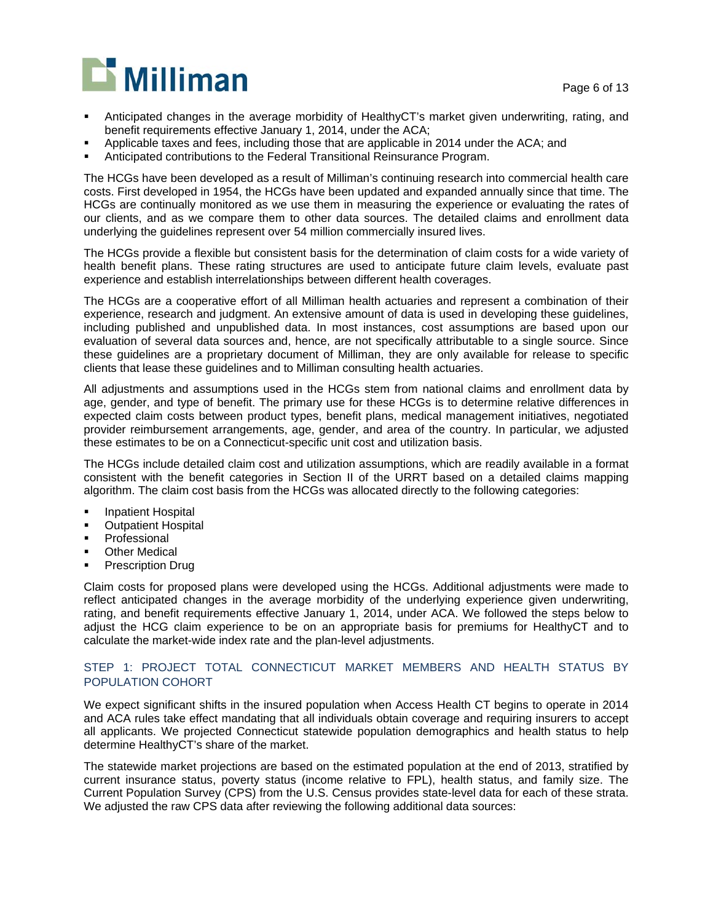Page 6 of 13



- Anticipated changes in the average morbidity of HealthyCT's market given underwriting, rating, and benefit requirements effective January 1, 2014, under the ACA;
- Applicable taxes and fees, including those that are applicable in 2014 under the ACA; and
- Anticipated contributions to the Federal Transitional Reinsurance Program.

The HCGs have been developed as a result of Milliman's continuing research into commercial health care costs. First developed in 1954, the HCGs have been updated and expanded annually since that time. The HCGs are continually monitored as we use them in measuring the experience or evaluating the rates of our clients, and as we compare them to other data sources. The detailed claims and enrollment data underlying the guidelines represent over 54 million commercially insured lives.

The HCGs provide a flexible but consistent basis for the determination of claim costs for a wide variety of health benefit plans. These rating structures are used to anticipate future claim levels, evaluate past experience and establish interrelationships between different health coverages.

The HCGs are a cooperative effort of all Milliman health actuaries and represent a combination of their experience, research and judgment. An extensive amount of data is used in developing these guidelines, including published and unpublished data. In most instances, cost assumptions are based upon our evaluation of several data sources and, hence, are not specifically attributable to a single source. Since these guidelines are a proprietary document of Milliman, they are only available for release to specific clients that lease these guidelines and to Milliman consulting health actuaries.

All adjustments and assumptions used in the HCGs stem from national claims and enrollment data by age, gender, and type of benefit. The primary use for these HCGs is to determine relative differences in expected claim costs between product types, benefit plans, medical management initiatives, negotiated provider reimbursement arrangements, age, gender, and area of the country. In particular, we adjusted these estimates to be on a Connecticut-specific unit cost and utilization basis.

The HCGs include detailed claim cost and utilization assumptions, which are readily available in a format consistent with the benefit categories in Section II of the URRT based on a detailed claims mapping algorithm. The claim cost basis from the HCGs was allocated directly to the following categories:

- Inpatient Hospital
- **•** Outpatient Hospital
- Professional
- Other Medical
- Prescription Drug

Claim costs for proposed plans were developed using the HCGs. Additional adjustments were made to reflect anticipated changes in the average morbidity of the underlying experience given underwriting, rating, and benefit requirements effective January 1, 2014, under ACA. We followed the steps below to adjust the HCG claim experience to be on an appropriate basis for premiums for HealthyCT and to calculate the market-wide index rate and the plan-level adjustments.

#### STEP 1: PROJECT TOTAL CONNECTICUT MARKET MEMBERS AND HEALTH STATUS BY POPULATION COHORT

We expect significant shifts in the insured population when Access Health CT begins to operate in 2014 and ACA rules take effect mandating that all individuals obtain coverage and requiring insurers to accept all applicants. We projected Connecticut statewide population demographics and health status to help determine HealthyCT's share of the market.

The statewide market projections are based on the estimated population at the end of 2013, stratified by current insurance status, poverty status (income relative to FPL), health status, and family size. The Current Population Survey (CPS) from the U.S. Census provides state-level data for each of these strata. We adjusted the raw CPS data after reviewing the following additional data sources: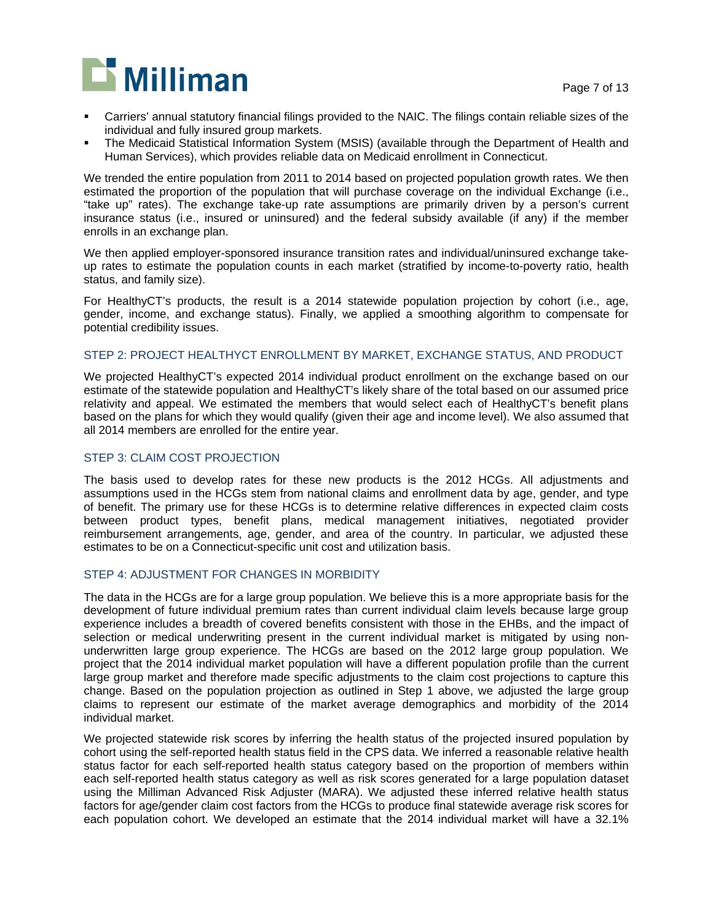

- Carriers' annual statutory financial filings provided to the NAIC. The filings contain reliable sizes of the individual and fully insured group markets.
- The Medicaid Statistical Information System (MSIS) (available through the Department of Health and Human Services), which provides reliable data on Medicaid enrollment in Connecticut.

We trended the entire population from 2011 to 2014 based on projected population growth rates. We then estimated the proportion of the population that will purchase coverage on the individual Exchange (i.e., "take up" rates). The exchange take-up rate assumptions are primarily driven by a person's current insurance status (i.e., insured or uninsured) and the federal subsidy available (if any) if the member enrolls in an exchange plan.

We then applied employer-sponsored insurance transition rates and individual/uninsured exchange takeup rates to estimate the population counts in each market (stratified by income-to-poverty ratio, health status, and family size).

For HealthyCT's products, the result is a 2014 statewide population projection by cohort (i.e., age, gender, income, and exchange status). Finally, we applied a smoothing algorithm to compensate for potential credibility issues.

#### STEP 2: PROJECT HEALTHYCT ENROLLMENT BY MARKET, EXCHANGE STATUS, AND PRODUCT

We projected HealthyCT's expected 2014 individual product enrollment on the exchange based on our estimate of the statewide population and HealthyCT's likely share of the total based on our assumed price relativity and appeal. We estimated the members that would select each of HealthyCT's benefit plans based on the plans for which they would qualify (given their age and income level). We also assumed that all 2014 members are enrolled for the entire year.

#### STEP 3: CLAIM COST PROJECTION

The basis used to develop rates for these new products is the 2012 HCGs. All adjustments and assumptions used in the HCGs stem from national claims and enrollment data by age, gender, and type of benefit. The primary use for these HCGs is to determine relative differences in expected claim costs between product types, benefit plans, medical management initiatives, negotiated provider reimbursement arrangements, age, gender, and area of the country. In particular, we adjusted these estimates to be on a Connecticut-specific unit cost and utilization basis.

#### STEP 4: ADJUSTMENT FOR CHANGES IN MORBIDITY

The data in the HCGs are for a large group population. We believe this is a more appropriate basis for the development of future individual premium rates than current individual claim levels because large group experience includes a breadth of covered benefits consistent with those in the EHBs, and the impact of selection or medical underwriting present in the current individual market is mitigated by using nonunderwritten large group experience. The HCGs are based on the 2012 large group population. We project that the 2014 individual market population will have a different population profile than the current large group market and therefore made specific adjustments to the claim cost projections to capture this change. Based on the population projection as outlined in Step 1 above, we adjusted the large group claims to represent our estimate of the market average demographics and morbidity of the 2014 individual market.

We projected statewide risk scores by inferring the health status of the projected insured population by cohort using the self-reported health status field in the CPS data. We inferred a reasonable relative health status factor for each self-reported health status category based on the proportion of members within each self-reported health status category as well as risk scores generated for a large population dataset using the Milliman Advanced Risk Adjuster (MARA). We adjusted these inferred relative health status factors for age/gender claim cost factors from the HCGs to produce final statewide average risk scores for each population cohort. We developed an estimate that the 2014 individual market will have a 32.1%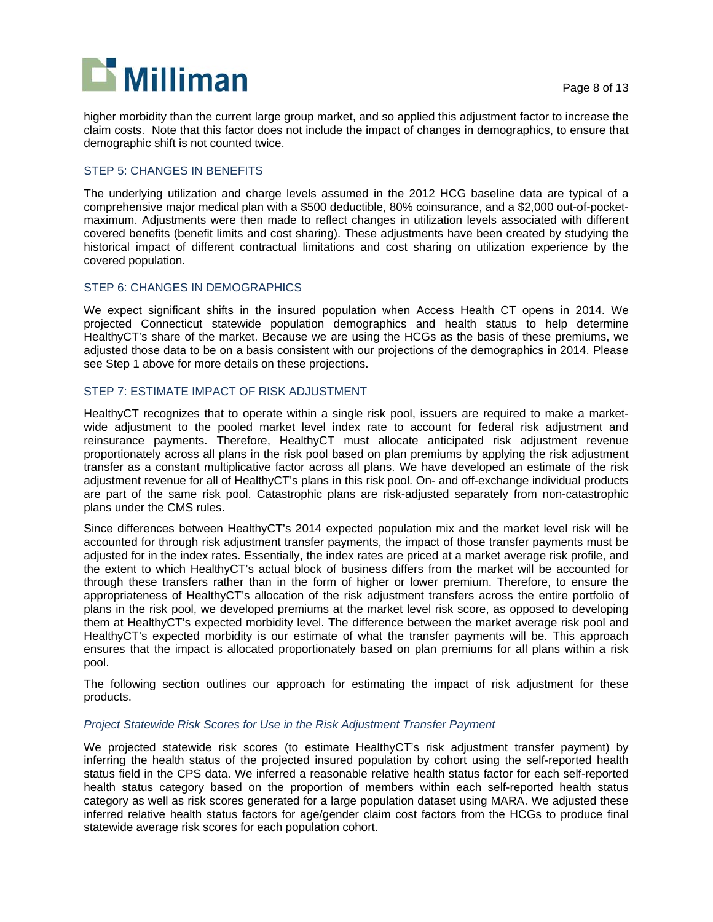

higher morbidity than the current large group market, and so applied this adjustment factor to increase the claim costs. Note that this factor does not include the impact of changes in demographics, to ensure that demographic shift is not counted twice.

#### STEP 5: CHANGES IN BENEFITS

The underlying utilization and charge levels assumed in the 2012 HCG baseline data are typical of a comprehensive major medical plan with a \$500 deductible, 80% coinsurance, and a \$2,000 out-of-pocketmaximum. Adjustments were then made to reflect changes in utilization levels associated with different covered benefits (benefit limits and cost sharing). These adjustments have been created by studying the historical impact of different contractual limitations and cost sharing on utilization experience by the covered population.

#### STEP 6: CHANGES IN DEMOGRAPHICS

We expect significant shifts in the insured population when Access Health CT opens in 2014. We projected Connecticut statewide population demographics and health status to help determine HealthyCT's share of the market. Because we are using the HCGs as the basis of these premiums, we adjusted those data to be on a basis consistent with our projections of the demographics in 2014. Please see Step 1 above for more details on these projections.

#### STEP 7: ESTIMATE IMPACT OF RISK ADJUSTMENT

HealthyCT recognizes that to operate within a single risk pool, issuers are required to make a marketwide adjustment to the pooled market level index rate to account for federal risk adjustment and reinsurance payments. Therefore, HealthyCT must allocate anticipated risk adjustment revenue proportionately across all plans in the risk pool based on plan premiums by applying the risk adjustment transfer as a constant multiplicative factor across all plans. We have developed an estimate of the risk adjustment revenue for all of HealthyCT's plans in this risk pool. On- and off-exchange individual products are part of the same risk pool. Catastrophic plans are risk-adjusted separately from non-catastrophic plans under the CMS rules.

Since differences between HealthyCT's 2014 expected population mix and the market level risk will be accounted for through risk adjustment transfer payments, the impact of those transfer payments must be adjusted for in the index rates. Essentially, the index rates are priced at a market average risk profile, and the extent to which HealthyCT's actual block of business differs from the market will be accounted for through these transfers rather than in the form of higher or lower premium. Therefore, to ensure the appropriateness of HealthyCT's allocation of the risk adjustment transfers across the entire portfolio of plans in the risk pool, we developed premiums at the market level risk score, as opposed to developing them at HealthyCT's expected morbidity level. The difference between the market average risk pool and HealthyCT's expected morbidity is our estimate of what the transfer payments will be. This approach ensures that the impact is allocated proportionately based on plan premiums for all plans within a risk pool.

The following section outlines our approach for estimating the impact of risk adjustment for these products.

#### *Project Statewide Risk Scores for Use in the Risk Adjustment Transfer Payment*

We projected statewide risk scores (to estimate HealthyCT's risk adjustment transfer payment) by inferring the health status of the projected insured population by cohort using the self-reported health status field in the CPS data. We inferred a reasonable relative health status factor for each self-reported health status category based on the proportion of members within each self-reported health status category as well as risk scores generated for a large population dataset using MARA. We adjusted these inferred relative health status factors for age/gender claim cost factors from the HCGs to produce final statewide average risk scores for each population cohort.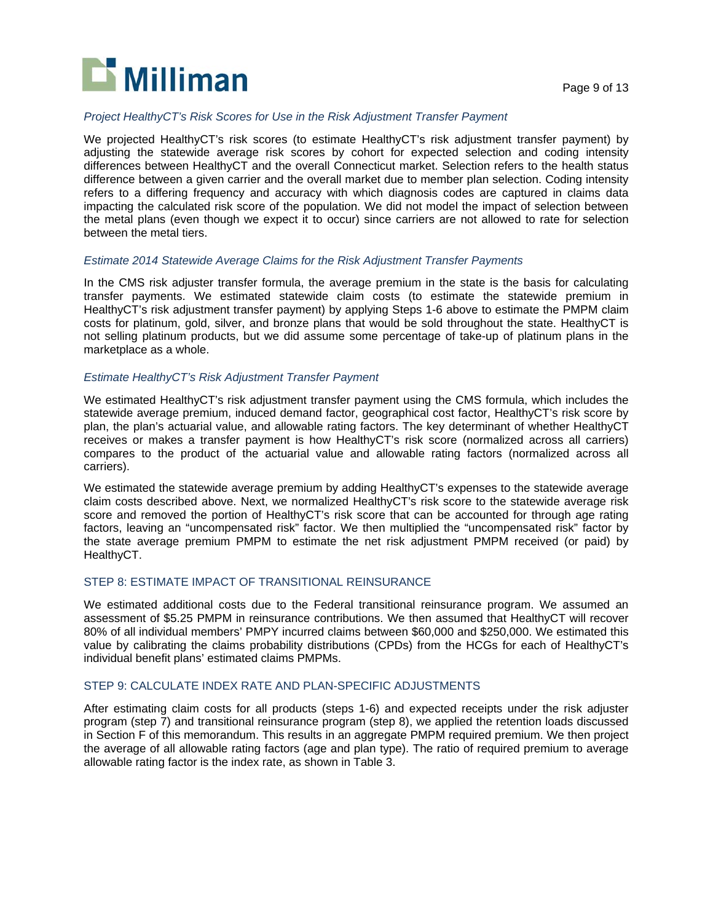

#### *Project HealthyCT's Risk Scores for Use in the Risk Adjustment Transfer Payment*

We projected HealthyCT's risk scores (to estimate HealthyCT's risk adjustment transfer payment) by adjusting the statewide average risk scores by cohort for expected selection and coding intensity differences between HealthyCT and the overall Connecticut market. Selection refers to the health status difference between a given carrier and the overall market due to member plan selection. Coding intensity refers to a differing frequency and accuracy with which diagnosis codes are captured in claims data impacting the calculated risk score of the population. We did not model the impact of selection between the metal plans (even though we expect it to occur) since carriers are not allowed to rate for selection between the metal tiers.

#### *Estimate 2014 Statewide Average Claims for the Risk Adjustment Transfer Payments*

In the CMS risk adjuster transfer formula, the average premium in the state is the basis for calculating transfer payments. We estimated statewide claim costs (to estimate the statewide premium in HealthyCT's risk adjustment transfer payment) by applying Steps 1-6 above to estimate the PMPM claim costs for platinum, gold, silver, and bronze plans that would be sold throughout the state. HealthyCT is not selling platinum products, but we did assume some percentage of take-up of platinum plans in the marketplace as a whole.

#### *Estimate HealthyCT's Risk Adjustment Transfer Payment*

We estimated HealthyCT's risk adjustment transfer payment using the CMS formula, which includes the statewide average premium, induced demand factor, geographical cost factor, HealthyCT's risk score by plan, the plan's actuarial value, and allowable rating factors. The key determinant of whether HealthyCT receives or makes a transfer payment is how HealthyCT's risk score (normalized across all carriers) compares to the product of the actuarial value and allowable rating factors (normalized across all carriers).

We estimated the statewide average premium by adding HealthyCT's expenses to the statewide average claim costs described above. Next, we normalized HealthyCT's risk score to the statewide average risk score and removed the portion of HealthyCT's risk score that can be accounted for through age rating factors, leaving an "uncompensated risk" factor. We then multiplied the "uncompensated risk" factor by the state average premium PMPM to estimate the net risk adjustment PMPM received (or paid) by HealthyCT.

#### STEP 8: ESTIMATE IMPACT OF TRANSITIONAL REINSURANCE

We estimated additional costs due to the Federal transitional reinsurance program. We assumed an assessment of \$5.25 PMPM in reinsurance contributions. We then assumed that HealthyCT will recover 80% of all individual members' PMPY incurred claims between \$60,000 and \$250,000. We estimated this value by calibrating the claims probability distributions (CPDs) from the HCGs for each of HealthyCT's individual benefit plans' estimated claims PMPMs.

#### STEP 9: CALCULATE INDEX RATE AND PLAN-SPECIFIC ADJUSTMENTS

After estimating claim costs for all products (steps 1-6) and expected receipts under the risk adjuster program (step 7) and transitional reinsurance program (step 8), we applied the retention loads discussed in Section F of this memorandum. This results in an aggregate PMPM required premium. We then project the average of all allowable rating factors (age and plan type). The ratio of required premium to average allowable rating factor is the index rate, as shown in Table 3.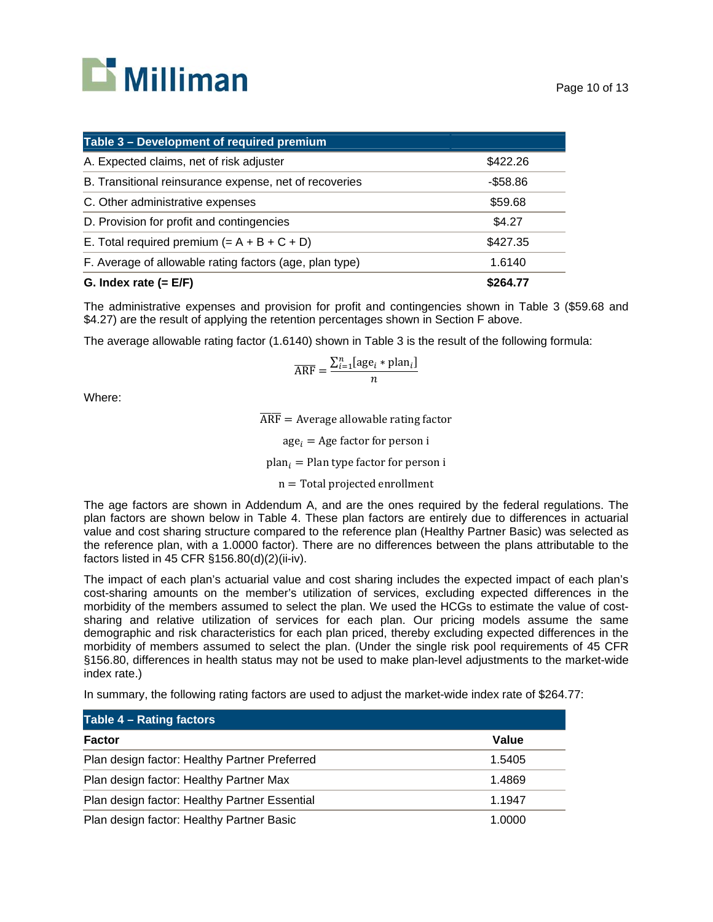# **D** Milliman

| Table 3 - Development of required premium               |             |
|---------------------------------------------------------|-------------|
| A. Expected claims, net of risk adjuster                | \$422.26    |
| B. Transitional reinsurance expense, net of recoveries  | $-$ \$58.86 |
| C. Other administrative expenses                        | \$59.68     |
| D. Provision for profit and contingencies               | \$4.27      |
| E. Total required premium $(= A + B + C + D)$           | \$427.35    |
| F. Average of allowable rating factors (age, plan type) | 1.6140      |
| G. Index rate $(= E/F)$                                 | \$264.77    |

The administrative expenses and provision for profit and contingencies shown in Table 3 (\$59.68 and \$4.27) are the result of applying the retention percentages shown in Section F above.

The average allowable rating factor (1.6140) shown in Table 3 is the result of the following formula:

$$
\overline{\text{ARF}} = \frac{\sum_{i=1}^{n} [age_i * plan_i]}{n}
$$

Where:

 $\overline{\text{ARF}}$  = Average allowable rating factor

 $age_i = Age factor for person i$ 

plan $_i$  = Plan type factor for person i

 $n =$  Total projected enrollment

The age factors are shown in Addendum A, and are the ones required by the federal regulations. The plan factors are shown below in Table 4. These plan factors are entirely due to differences in actuarial value and cost sharing structure compared to the reference plan (Healthy Partner Basic) was selected as the reference plan, with a 1.0000 factor). There are no differences between the plans attributable to the factors listed in 45 CFR §156.80(d)(2)(ii-iv).

The impact of each plan's actuarial value and cost sharing includes the expected impact of each plan's cost-sharing amounts on the member's utilization of services, excluding expected differences in the morbidity of the members assumed to select the plan. We used the HCGs to estimate the value of costsharing and relative utilization of services for each plan. Our pricing models assume the same demographic and risk characteristics for each plan priced, thereby excluding expected differences in the morbidity of members assumed to select the plan. (Under the single risk pool requirements of 45 CFR §156.80, differences in health status may not be used to make plan-level adjustments to the market-wide index rate.)

|  |  | In summary, the following rating factors are used to adjust the market-wide index rate of \$264.77: |  |
|--|--|-----------------------------------------------------------------------------------------------------|--|
|--|--|-----------------------------------------------------------------------------------------------------|--|

| Table 4 - Rating factors                      |        |
|-----------------------------------------------|--------|
| <b>Factor</b>                                 | Value  |
| Plan design factor: Healthy Partner Preferred | 1.5405 |
| Plan design factor: Healthy Partner Max       | 1.4869 |
| Plan design factor: Healthy Partner Essential | 1.1947 |
| Plan design factor: Healthy Partner Basic     | 1.0000 |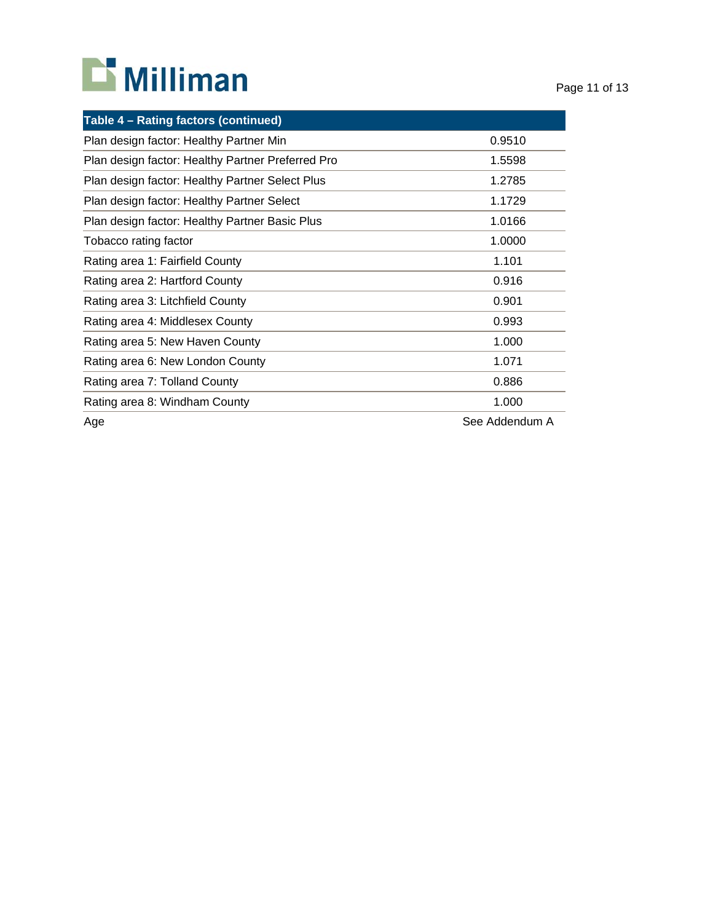# **D** Milliman

| Table 4 - Rating factors (continued)              |                |
|---------------------------------------------------|----------------|
| Plan design factor: Healthy Partner Min           | 0.9510         |
| Plan design factor: Healthy Partner Preferred Pro | 1.5598         |
| Plan design factor: Healthy Partner Select Plus   | 1.2785         |
| Plan design factor: Healthy Partner Select        | 1.1729         |
| Plan design factor: Healthy Partner Basic Plus    | 1.0166         |
| Tobacco rating factor                             | 1.0000         |
| Rating area 1: Fairfield County                   | 1.101          |
| Rating area 2: Hartford County                    | 0.916          |
| Rating area 3: Litchfield County                  | 0.901          |
| Rating area 4: Middlesex County                   | 0.993          |
| Rating area 5: New Haven County                   | 1.000          |
| Rating area 6: New London County                  | 1.071          |
| Rating area 7: Tolland County                     | 0.886          |
| Rating area 8: Windham County                     | 1.000          |
| Age                                               | See Addendum A |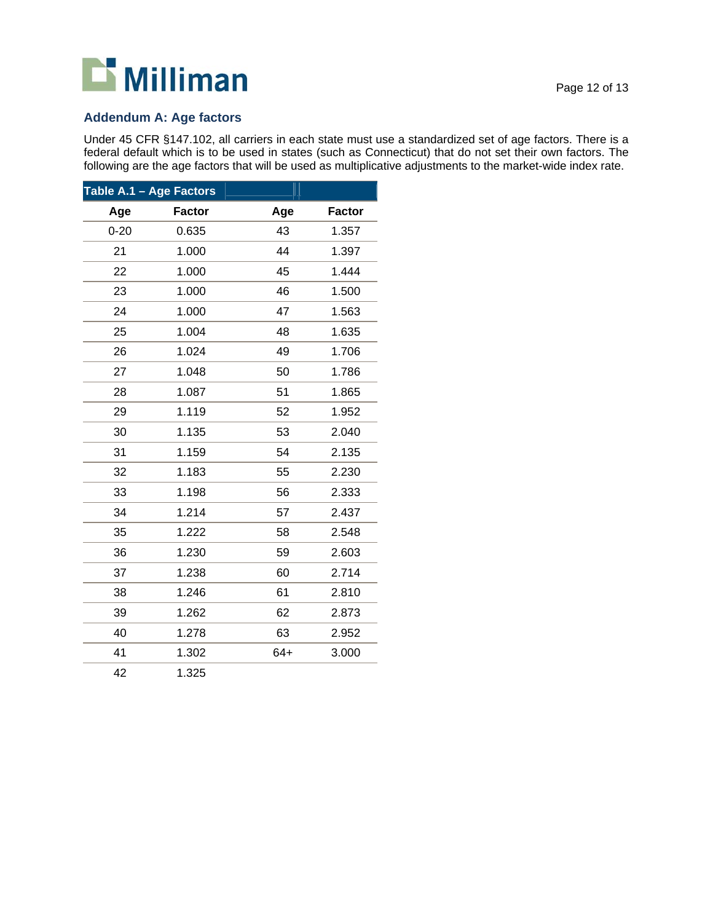# **D** Milliman

#### **Addendum A: Age factors**

Under 45 CFR §147.102, all carriers in each state must use a standardized set of age factors. There is a federal default which is to be used in states (such as Connecticut) that do not set their own factors. The following are the age factors that will be used as multiplicative adjustments to the market-wide index rate.

| Table A.1 - Age Factors |               |       |               |
|-------------------------|---------------|-------|---------------|
| Age                     | <b>Factor</b> | Age   | <b>Factor</b> |
| $0 - 20$                | 0.635         | 43    | 1.357         |
| 21                      | 1.000         | 44    | 1.397         |
| 22                      | 1.000         | 45    | 1.444         |
| 23                      | 1.000         | 46    | 1.500         |
| 24                      | 1.000         | 47    | 1.563         |
| 25                      | 1.004         | 48    | 1.635         |
| 26                      | 1.024         | 49    | 1.706         |
| 27                      | 1.048         | 50    | 1.786         |
| 28                      | 1.087         | 51    | 1.865         |
| 29                      | 1.119         | 52    | 1.952         |
| 30                      | 1.135         | 53    | 2.040         |
| 31                      | 1.159         | 54    | 2.135         |
| 32                      | 1.183         | 55    | 2.230         |
| 33                      | 1.198         | 56    | 2.333         |
| 34                      | 1.214         | 57    | 2.437         |
| 35                      | 1.222         | 58    | 2.548         |
| 36                      | 1.230         | 59    | 2.603         |
| 37                      | 1.238         | 60    | 2.714         |
| 38                      | 1.246         | 61    | 2.810         |
| 39                      | 1.262         | 62    | 2.873         |
| 40                      | 1.278         | 63    | 2.952         |
| 41                      | 1.302         | $64+$ | 3.000         |
| 42                      | 1.325         |       |               |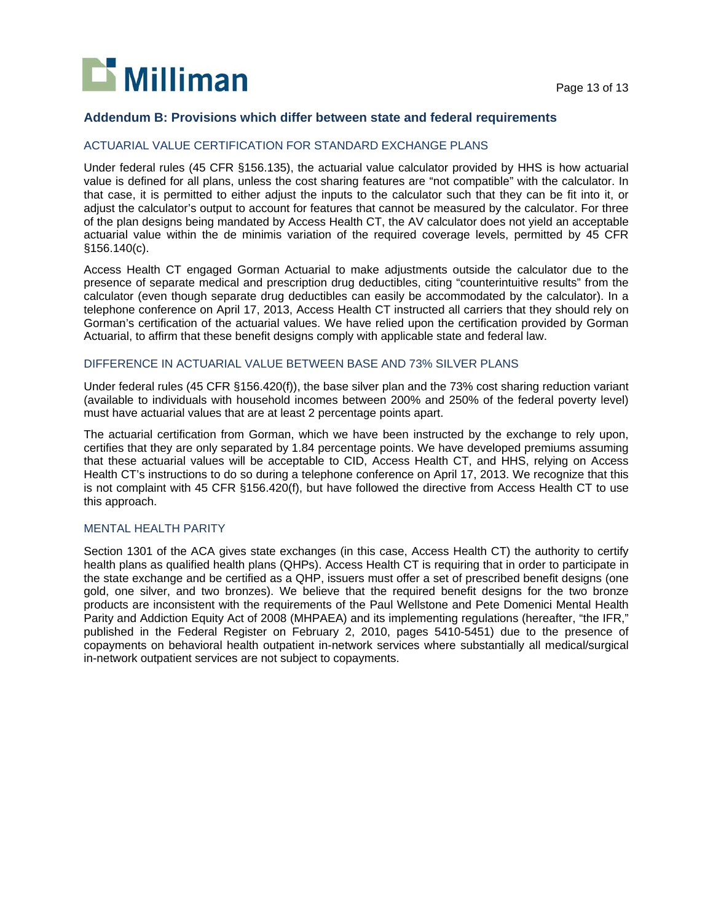

#### **Addendum B: Provisions which differ between state and federal requirements**

#### ACTUARIAL VALUE CERTIFICATION FOR STANDARD EXCHANGE PLANS

Under federal rules (45 CFR §156.135), the actuarial value calculator provided by HHS is how actuarial value is defined for all plans, unless the cost sharing features are "not compatible" with the calculator. In that case, it is permitted to either adjust the inputs to the calculator such that they can be fit into it, or adjust the calculator's output to account for features that cannot be measured by the calculator. For three of the plan designs being mandated by Access Health CT, the AV calculator does not yield an acceptable actuarial value within the de minimis variation of the required coverage levels, permitted by 45 CFR §156.140(c).

Access Health CT engaged Gorman Actuarial to make adjustments outside the calculator due to the presence of separate medical and prescription drug deductibles, citing "counterintuitive results" from the calculator (even though separate drug deductibles can easily be accommodated by the calculator). In a telephone conference on April 17, 2013, Access Health CT instructed all carriers that they should rely on Gorman's certification of the actuarial values. We have relied upon the certification provided by Gorman Actuarial, to affirm that these benefit designs comply with applicable state and federal law.

#### DIFFERENCE IN ACTUARIAL VALUE BETWEEN BASE AND 73% SILVER PLANS

Under federal rules (45 CFR §156.420(f)), the base silver plan and the 73% cost sharing reduction variant (available to individuals with household incomes between 200% and 250% of the federal poverty level) must have actuarial values that are at least 2 percentage points apart.

The actuarial certification from Gorman, which we have been instructed by the exchange to rely upon, certifies that they are only separated by 1.84 percentage points. We have developed premiums assuming that these actuarial values will be acceptable to CID, Access Health CT, and HHS, relying on Access Health CT's instructions to do so during a telephone conference on April 17, 2013. We recognize that this is not complaint with 45 CFR §156.420(f), but have followed the directive from Access Health CT to use this approach.

#### MENTAL HEALTH PARITY

Section 1301 of the ACA gives state exchanges (in this case, Access Health CT) the authority to certify health plans as qualified health plans (QHPs). Access Health CT is requiring that in order to participate in the state exchange and be certified as a QHP, issuers must offer a set of prescribed benefit designs (one gold, one silver, and two bronzes). We believe that the required benefit designs for the two bronze products are inconsistent with the requirements of the Paul Wellstone and Pete Domenici Mental Health Parity and Addiction Equity Act of 2008 (MHPAEA) and its implementing regulations (hereafter, "the IFR," published in the Federal Register on February 2, 2010, pages 5410-5451) due to the presence of copayments on behavioral health outpatient in-network services where substantially all medical/surgical in-network outpatient services are not subject to copayments.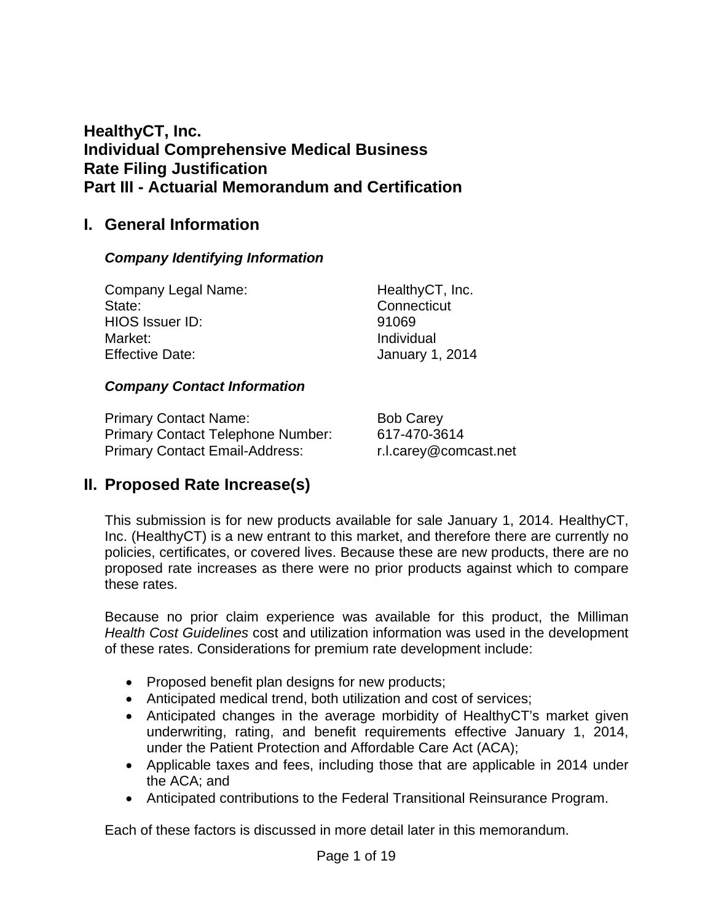# **HealthyCT, Inc. Individual Comprehensive Medical Business Rate Filing Justification Part III - Actuarial Memorandum and Certification**

# **I. General Information**

# *Company Identifying Information*

| Company Legal Name:    | HealthyCT, Inc.        |
|------------------------|------------------------|
| State:                 | Connecticut            |
| HIOS Issuer ID:        | 91069                  |
| Market:                | Individual             |
| <b>Effective Date:</b> | <b>January 1, 2014</b> |

# *Company Contact Information*

Primary Contact Name: Bob Carey Primary Contact Telephone Number: 617-470-3614 Primary Contact Email-Address: r.l.carey@comcast.net

# **II. Proposed Rate Increase(s)**

This submission is for new products available for sale January 1, 2014. HealthyCT, Inc. (HealthyCT) is a new entrant to this market, and therefore there are currently no policies, certificates, or covered lives. Because these are new products, there are no proposed rate increases as there were no prior products against which to compare these rates.

Because no prior claim experience was available for this product, the Milliman *Health Cost Guidelines* cost and utilization information was used in the development of these rates. Considerations for premium rate development include:

- Proposed benefit plan designs for new products;
- Anticipated medical trend, both utilization and cost of services;
- Anticipated changes in the average morbidity of HealthyCT's market given underwriting, rating, and benefit requirements effective January 1, 2014, under the Patient Protection and Affordable Care Act (ACA);
- Applicable taxes and fees, including those that are applicable in 2014 under the ACA; and
- Anticipated contributions to the Federal Transitional Reinsurance Program.

Each of these factors is discussed in more detail later in this memorandum.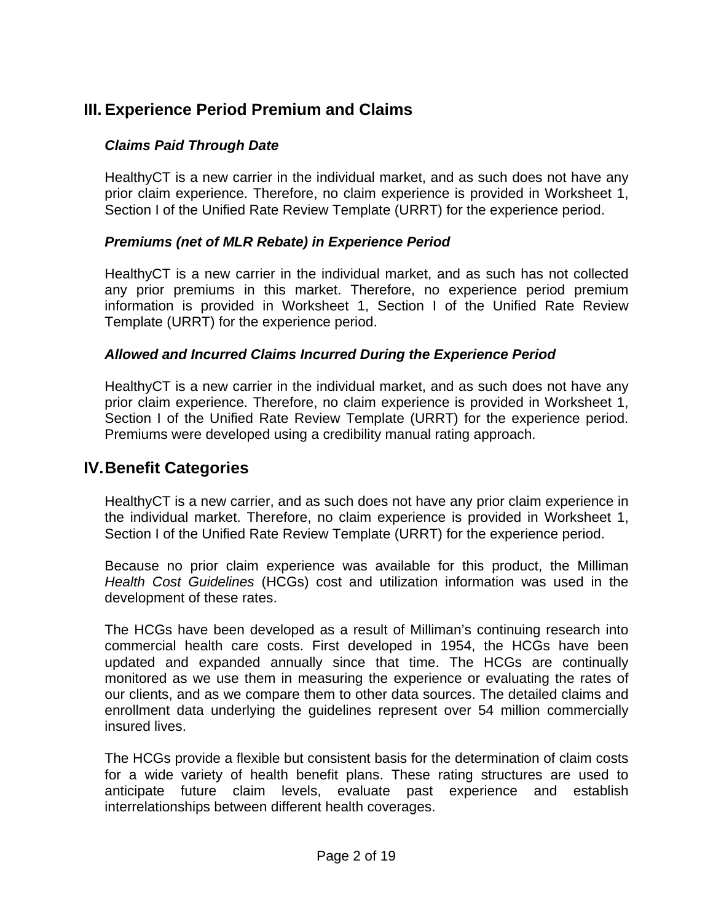# **III. Experience Period Premium and Claims**

# *Claims Paid Through Date*

HealthyCT is a new carrier in the individual market, and as such does not have any prior claim experience. Therefore, no claim experience is provided in Worksheet 1, Section I of the Unified Rate Review Template (URRT) for the experience period.

# *Premiums (net of MLR Rebate) in Experience Period*

HealthyCT is a new carrier in the individual market, and as such has not collected any prior premiums in this market. Therefore, no experience period premium information is provided in Worksheet 1, Section I of the Unified Rate Review Template (URRT) for the experience period.

# *Allowed and Incurred Claims Incurred During the Experience Period*

HealthyCT is a new carrier in the individual market, and as such does not have any prior claim experience. Therefore, no claim experience is provided in Worksheet 1, Section I of the Unified Rate Review Template (URRT) for the experience period. Premiums were developed using a credibility manual rating approach.

# **IV. Benefit Categories**

HealthyCT is a new carrier, and as such does not have any prior claim experience in the individual market. Therefore, no claim experience is provided in Worksheet 1, Section I of the Unified Rate Review Template (URRT) for the experience period.

Because no prior claim experience was available for this product, the Milliman *Health Cost Guidelines* (HCGs) cost and utilization information was used in the development of these rates.

The HCGs have been developed as a result of Milliman's continuing research into commercial health care costs. First developed in 1954, the HCGs have been updated and expanded annually since that time. The HCGs are continually monitored as we use them in measuring the experience or evaluating the rates of our clients, and as we compare them to other data sources. The detailed claims and enrollment data underlying the guidelines represent over 54 million commercially insured lives.

The HCGs provide a flexible but consistent basis for the determination of claim costs for a wide variety of health benefit plans. These rating structures are used to anticipate future claim levels, evaluate past experience and establish interrelationships between different health coverages.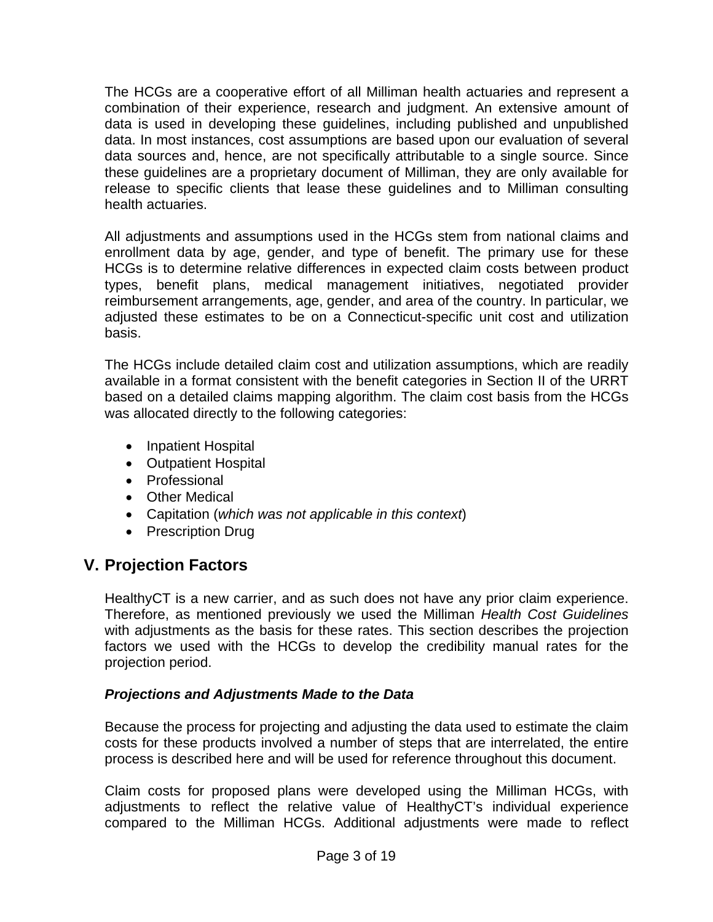The HCGs are a cooperative effort of all Milliman health actuaries and represent a combination of their experience, research and judgment. An extensive amount of data is used in developing these guidelines, including published and unpublished data. In most instances, cost assumptions are based upon our evaluation of several data sources and, hence, are not specifically attributable to a single source. Since these guidelines are a proprietary document of Milliman, they are only available for release to specific clients that lease these guidelines and to Milliman consulting health actuaries.

All adjustments and assumptions used in the HCGs stem from national claims and enrollment data by age, gender, and type of benefit. The primary use for these HCGs is to determine relative differences in expected claim costs between product types, benefit plans, medical management initiatives, negotiated provider reimbursement arrangements, age, gender, and area of the country. In particular, we adjusted these estimates to be on a Connecticut-specific unit cost and utilization basis.

The HCGs include detailed claim cost and utilization assumptions, which are readily available in a format consistent with the benefit categories in Section II of the URRT based on a detailed claims mapping algorithm. The claim cost basis from the HCGs was allocated directly to the following categories:

- Inpatient Hospital
- Outpatient Hospital
- Professional
- Other Medical
- Capitation (*which was not applicable in this context*)
- Prescription Drug

# **V. Projection Factors**

HealthyCT is a new carrier, and as such does not have any prior claim experience. Therefore, as mentioned previously we used the Milliman *Health Cost Guidelines* with adjustments as the basis for these rates. This section describes the projection factors we used with the HCGs to develop the credibility manual rates for the projection period.

# *Projections and Adjustments Made to the Data*

Because the process for projecting and adjusting the data used to estimate the claim costs for these products involved a number of steps that are interrelated, the entire process is described here and will be used for reference throughout this document.

Claim costs for proposed plans were developed using the Milliman HCGs, with adjustments to reflect the relative value of HealthyCT's individual experience compared to the Milliman HCGs. Additional adjustments were made to reflect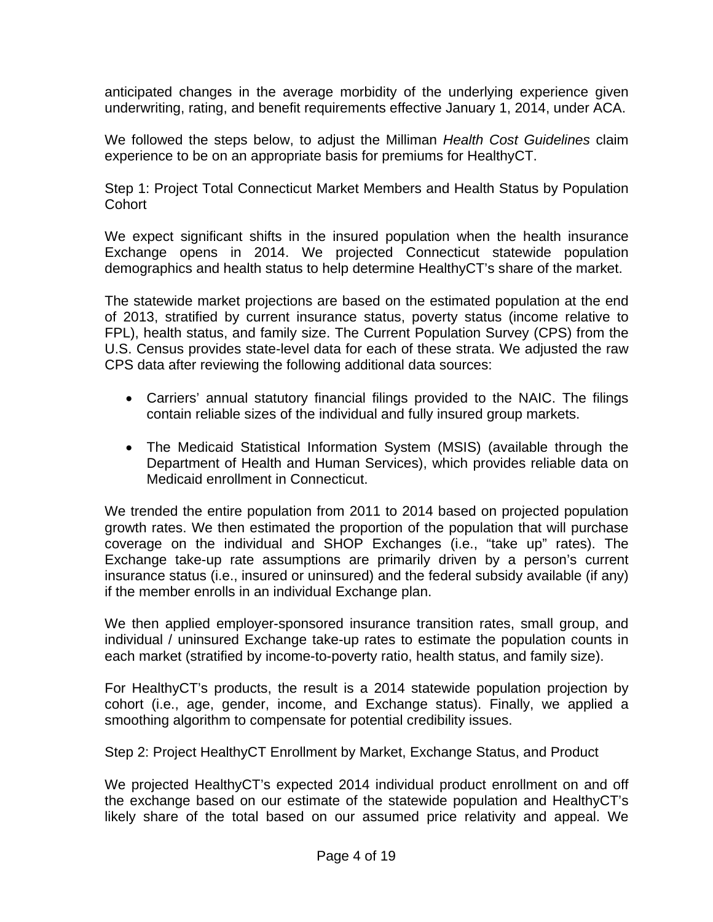anticipated changes in the average morbidity of the underlying experience given underwriting, rating, and benefit requirements effective January 1, 2014, under ACA.

We followed the steps below, to adjust the Milliman *Health Cost Guidelines* claim experience to be on an appropriate basis for premiums for HealthyCT.

Step 1: Project Total Connecticut Market Members and Health Status by Population **Cohort** 

We expect significant shifts in the insured population when the health insurance Exchange opens in 2014. We projected Connecticut statewide population demographics and health status to help determine HealthyCT's share of the market.

The statewide market projections are based on the estimated population at the end of 2013, stratified by current insurance status, poverty status (income relative to FPL), health status, and family size. The Current Population Survey (CPS) from the U.S. Census provides state-level data for each of these strata. We adjusted the raw CPS data after reviewing the following additional data sources:

- Carriers' annual statutory financial filings provided to the NAIC. The filings contain reliable sizes of the individual and fully insured group markets.
- The Medicaid Statistical Information System (MSIS) (available through the Department of Health and Human Services), which provides reliable data on Medicaid enrollment in Connecticut.

We trended the entire population from 2011 to 2014 based on projected population growth rates. We then estimated the proportion of the population that will purchase coverage on the individual and SHOP Exchanges (i.e., "take up" rates). The Exchange take-up rate assumptions are primarily driven by a person's current insurance status (i.e., insured or uninsured) and the federal subsidy available (if any) if the member enrolls in an individual Exchange plan.

We then applied employer-sponsored insurance transition rates, small group, and individual / uninsured Exchange take-up rates to estimate the population counts in each market (stratified by income-to-poverty ratio, health status, and family size).

For HealthyCT's products, the result is a 2014 statewide population projection by cohort (i.e., age, gender, income, and Exchange status). Finally, we applied a smoothing algorithm to compensate for potential credibility issues.

Step 2: Project HealthyCT Enrollment by Market, Exchange Status, and Product

We projected HealthyCT's expected 2014 individual product enrollment on and off the exchange based on our estimate of the statewide population and HealthyCT's likely share of the total based on our assumed price relativity and appeal. We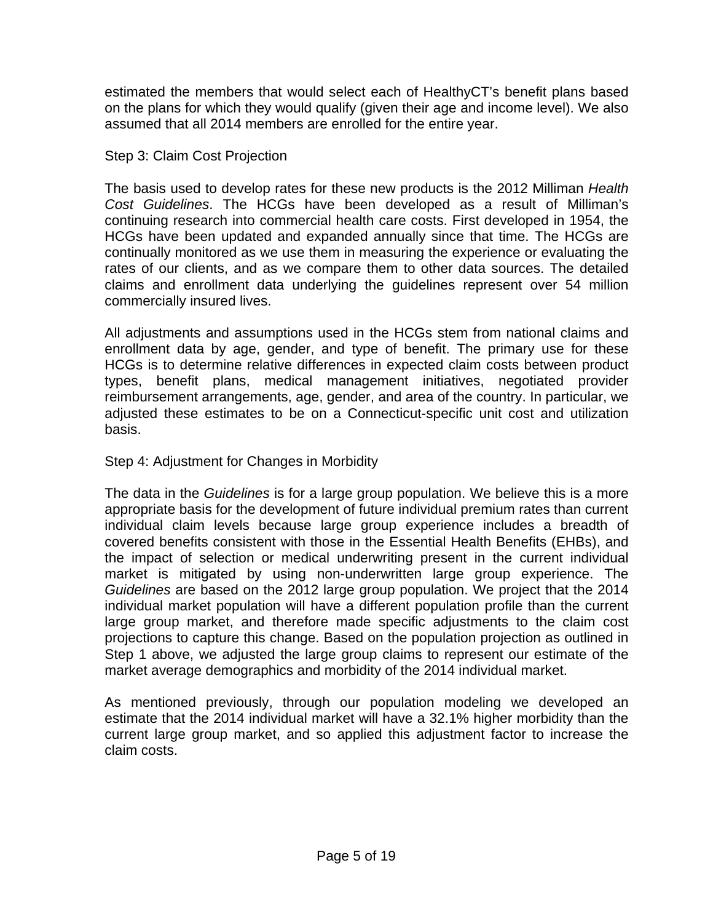estimated the members that would select each of HealthyCT's benefit plans based on the plans for which they would qualify (given their age and income level). We also assumed that all 2014 members are enrolled for the entire year.

## Step 3: Claim Cost Projection

The basis used to develop rates for these new products is the 2012 Milliman *Health Cost Guidelines*. The HCGs have been developed as a result of Milliman's continuing research into commercial health care costs. First developed in 1954, the HCGs have been updated and expanded annually since that time. The HCGs are continually monitored as we use them in measuring the experience or evaluating the rates of our clients, and as we compare them to other data sources. The detailed claims and enrollment data underlying the guidelines represent over 54 million commercially insured lives.

All adjustments and assumptions used in the HCGs stem from national claims and enrollment data by age, gender, and type of benefit. The primary use for these HCGs is to determine relative differences in expected claim costs between product types, benefit plans, medical management initiatives, negotiated provider reimbursement arrangements, age, gender, and area of the country. In particular, we adjusted these estimates to be on a Connecticut-specific unit cost and utilization basis.

# Step 4: Adjustment for Changes in Morbidity

The data in the *Guidelines* is for a large group population. We believe this is a more appropriate basis for the development of future individual premium rates than current individual claim levels because large group experience includes a breadth of covered benefits consistent with those in the Essential Health Benefits (EHBs), and the impact of selection or medical underwriting present in the current individual market is mitigated by using non-underwritten large group experience. The *Guidelines* are based on the 2012 large group population. We project that the 2014 individual market population will have a different population profile than the current large group market, and therefore made specific adjustments to the claim cost projections to capture this change. Based on the population projection as outlined in Step 1 above, we adjusted the large group claims to represent our estimate of the market average demographics and morbidity of the 2014 individual market.

As mentioned previously, through our population modeling we developed an estimate that the 2014 individual market will have a 32.1% higher morbidity than the current large group market, and so applied this adjustment factor to increase the claim costs.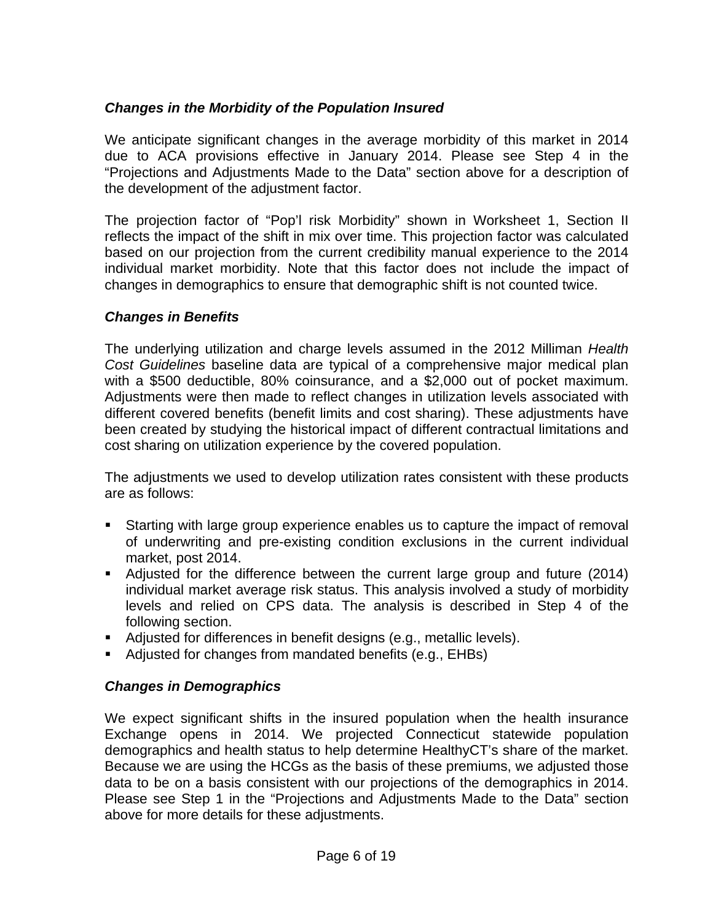# *Changes in the Morbidity of the Population Insured*

We anticipate significant changes in the average morbidity of this market in 2014 due to ACA provisions effective in January 2014. Please see Step 4 in the "Projections and Adjustments Made to the Data" section above for a description of the development of the adjustment factor.

The projection factor of "Pop'l risk Morbidity" shown in Worksheet 1, Section II reflects the impact of the shift in mix over time. This projection factor was calculated based on our projection from the current credibility manual experience to the 2014 individual market morbidity. Note that this factor does not include the impact of changes in demographics to ensure that demographic shift is not counted twice.

## *Changes in Benefits*

The underlying utilization and charge levels assumed in the 2012 Milliman *Health Cost Guidelines* baseline data are typical of a comprehensive major medical plan with a \$500 deductible, 80% coinsurance, and a \$2,000 out of pocket maximum. Adjustments were then made to reflect changes in utilization levels associated with different covered benefits (benefit limits and cost sharing). These adjustments have been created by studying the historical impact of different contractual limitations and cost sharing on utilization experience by the covered population.

The adjustments we used to develop utilization rates consistent with these products are as follows:

- Starting with large group experience enables us to capture the impact of removal of underwriting and pre-existing condition exclusions in the current individual market, post 2014.
- Adjusted for the difference between the current large group and future (2014) individual market average risk status. This analysis involved a study of morbidity levels and relied on CPS data. The analysis is described in Step 4 of the following section.
- Adjusted for differences in benefit designs (e.g., metallic levels).
- Adjusted for changes from mandated benefits (e.g., EHBs)

# *Changes in Demographics*

We expect significant shifts in the insured population when the health insurance Exchange opens in 2014. We projected Connecticut statewide population demographics and health status to help determine HealthyCT's share of the market. Because we are using the HCGs as the basis of these premiums, we adjusted those data to be on a basis consistent with our projections of the demographics in 2014. Please see Step 1 in the "Projections and Adjustments Made to the Data" section above for more details for these adjustments.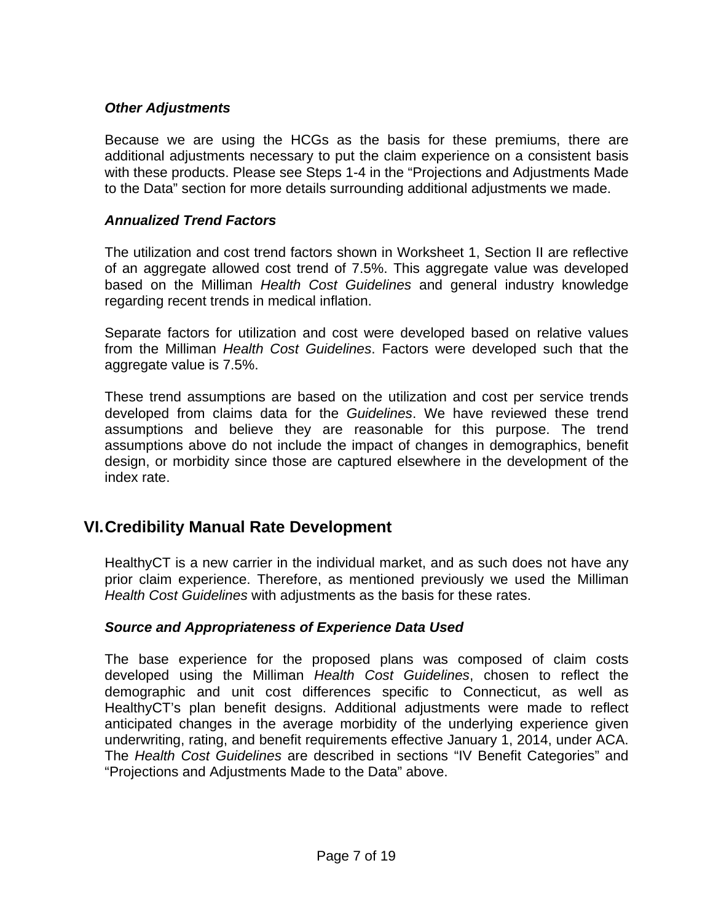# *Other Adjustments*

Because we are using the HCGs as the basis for these premiums, there are additional adjustments necessary to put the claim experience on a consistent basis with these products. Please see Steps 1-4 in the "Projections and Adjustments Made to the Data" section for more details surrounding additional adjustments we made.

#### *Annualized Trend Factors*

The utilization and cost trend factors shown in Worksheet 1, Section II are reflective of an aggregate allowed cost trend of 7.5%. This aggregate value was developed based on the Milliman *Health Cost Guidelines* and general industry knowledge regarding recent trends in medical inflation.

Separate factors for utilization and cost were developed based on relative values from the Milliman *Health Cost Guidelines*. Factors were developed such that the aggregate value is 7.5%.

These trend assumptions are based on the utilization and cost per service trends developed from claims data for the *Guidelines*. We have reviewed these trend assumptions and believe they are reasonable for this purpose. The trend assumptions above do not include the impact of changes in demographics, benefit design, or morbidity since those are captured elsewhere in the development of the index rate.

# **VI. Credibility Manual Rate Development**

HealthyCT is a new carrier in the individual market, and as such does not have any prior claim experience. Therefore, as mentioned previously we used the Milliman *Health Cost Guidelines* with adjustments as the basis for these rates.

#### *Source and Appropriateness of Experience Data Used*

The base experience for the proposed plans was composed of claim costs developed using the Milliman *Health Cost Guidelines*, chosen to reflect the demographic and unit cost differences specific to Connecticut, as well as HealthyCT's plan benefit designs. Additional adjustments were made to reflect anticipated changes in the average morbidity of the underlying experience given underwriting, rating, and benefit requirements effective January 1, 2014, under ACA. The *Health Cost Guidelines* are described in sections "IV Benefit Categories" and "Projections and Adjustments Made to the Data" above.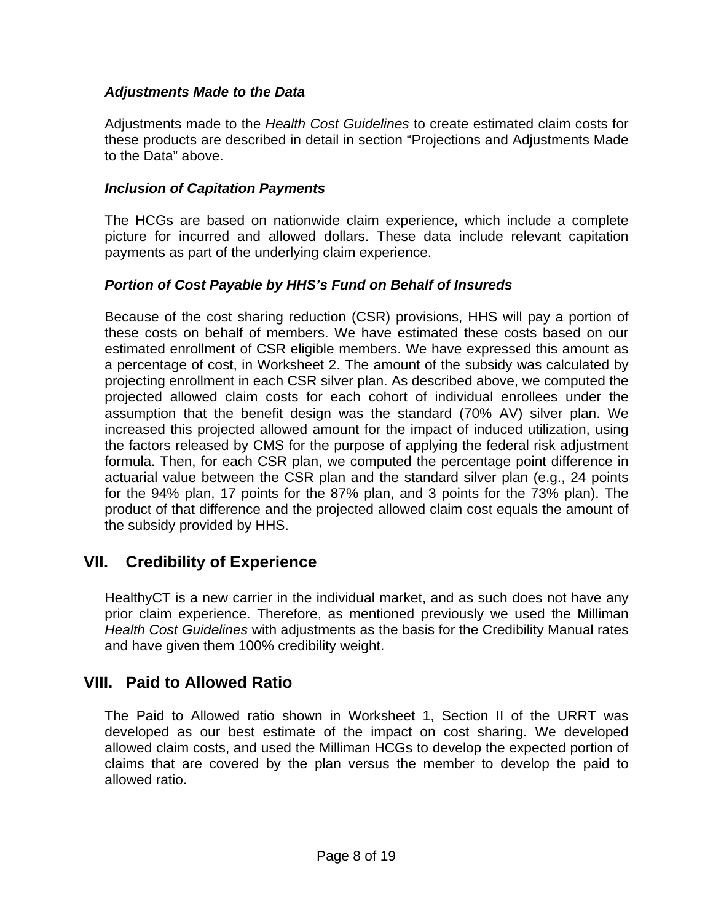# *Adjustments Made to the Data*

Adjustments made to the *Health Cost Guidelines* to create estimated claim costs for these products are described in detail in section "Projections and Adjustments Made to the Data" above.

# *Inclusion of Capitation Payments*

The HCGs are based on nationwide claim experience, which include a complete picture for incurred and allowed dollars. These data include relevant capitation payments as part of the underlying claim experience.

# *Portion of Cost Payable by HHS's Fund on Behalf of Insureds*

Because of the cost sharing reduction (CSR) provisions, HHS will pay a portion of these costs on behalf of members. We have estimated these costs based on our estimated enrollment of CSR eligible members. We have expressed this amount as a percentage of cost, in Worksheet 2. The amount of the subsidy was calculated by projecting enrollment in each CSR silver plan. As described above, we computed the projected allowed claim costs for each cohort of individual enrollees under the assumption that the benefit design was the standard (70% AV) silver plan. We increased this projected allowed amount for the impact of induced utilization, using the factors released by CMS for the purpose of applying the federal risk adjustment formula. Then, for each CSR plan, we computed the percentage point difference in actuarial value between the CSR plan and the standard silver plan (e.g., 24 points for the 94% plan, 17 points for the 87% plan, and 3 points for the 73% plan). The product of that difference and the projected allowed claim cost equals the amount of the subsidy provided by HHS.

# **VII. Credibility of Experience**

HealthyCT is a new carrier in the individual market, and as such does not have any prior claim experience. Therefore, as mentioned previously we used the Milliman *Health Cost Guidelines* with adjustments as the basis for the Credibility Manual rates and have given them 100% credibility weight.

# **VIII. Paid to Allowed Ratio**

The Paid to Allowed ratio shown in Worksheet 1, Section II of the URRT was developed as our best estimate of the impact on cost sharing. We developed allowed claim costs, and used the Milliman HCGs to develop the expected portion of claims that are covered by the plan versus the member to develop the paid to allowed ratio.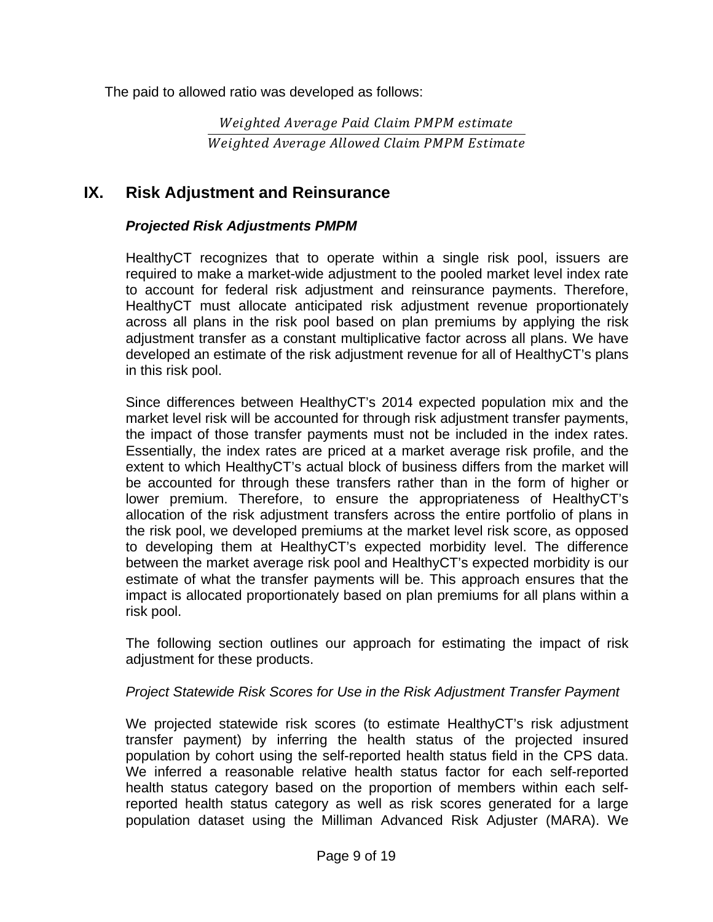The paid to allowed ratio was developed as follows:

Weighted Average Paid Claim PMPM estimate Weighted Average Allowed Claim PMPM Estimate

# **IX. Risk Adjustment and Reinsurance**

# *Projected Risk Adjustments PMPM*

HealthyCT recognizes that to operate within a single risk pool, issuers are required to make a market-wide adjustment to the pooled market level index rate to account for federal risk adjustment and reinsurance payments. Therefore, HealthyCT must allocate anticipated risk adjustment revenue proportionately across all plans in the risk pool based on plan premiums by applying the risk adjustment transfer as a constant multiplicative factor across all plans. We have developed an estimate of the risk adjustment revenue for all of HealthyCT's plans in this risk pool.

Since differences between HealthyCT's 2014 expected population mix and the market level risk will be accounted for through risk adjustment transfer payments, the impact of those transfer payments must not be included in the index rates. Essentially, the index rates are priced at a market average risk profile, and the extent to which HealthyCT's actual block of business differs from the market will be accounted for through these transfers rather than in the form of higher or lower premium. Therefore, to ensure the appropriateness of HealthyCT's allocation of the risk adjustment transfers across the entire portfolio of plans in the risk pool, we developed premiums at the market level risk score, as opposed to developing them at HealthyCT's expected morbidity level. The difference between the market average risk pool and HealthyCT's expected morbidity is our estimate of what the transfer payments will be. This approach ensures that the impact is allocated proportionately based on plan premiums for all plans within a risk pool.

The following section outlines our approach for estimating the impact of risk adjustment for these products.

#### *Project Statewide Risk Scores for Use in the Risk Adjustment Transfer Payment*

We projected statewide risk scores (to estimate HealthyCT's risk adjustment transfer payment) by inferring the health status of the projected insured population by cohort using the self-reported health status field in the CPS data. We inferred a reasonable relative health status factor for each self-reported health status category based on the proportion of members within each selfreported health status category as well as risk scores generated for a large population dataset using the Milliman Advanced Risk Adjuster (MARA). We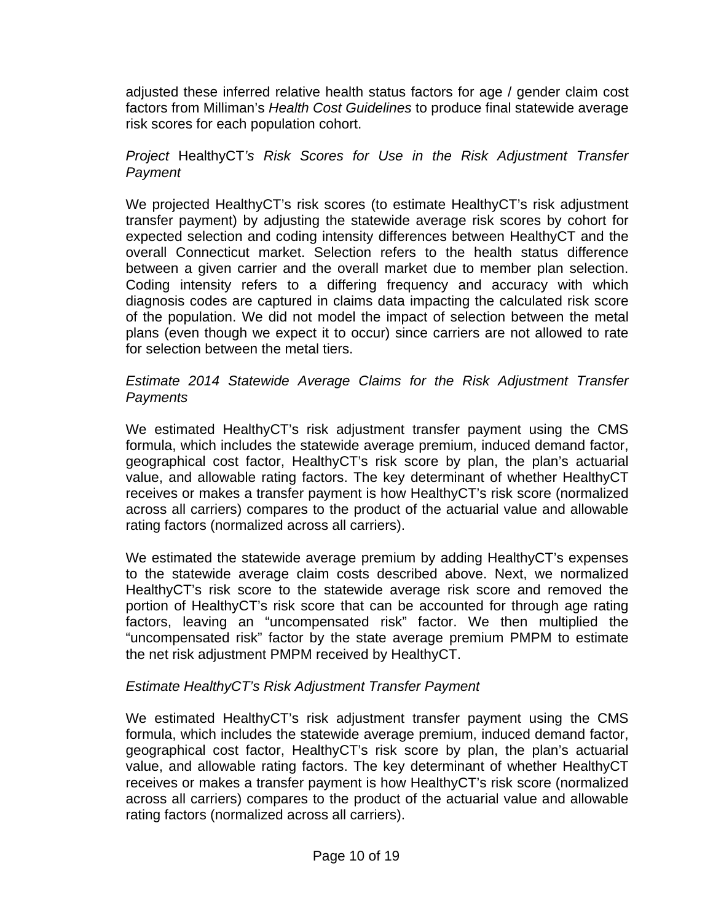adjusted these inferred relative health status factors for age / gender claim cost factors from Milliman's *Health Cost Guidelines* to produce final statewide average risk scores for each population cohort.

## *Project* HealthyCT*'s Risk Scores for Use in the Risk Adjustment Transfer Payment*

We projected HealthyCT's risk scores (to estimate HealthyCT's risk adjustment transfer payment) by adjusting the statewide average risk scores by cohort for expected selection and coding intensity differences between HealthyCT and the overall Connecticut market. Selection refers to the health status difference between a given carrier and the overall market due to member plan selection. Coding intensity refers to a differing frequency and accuracy with which diagnosis codes are captured in claims data impacting the calculated risk score of the population. We did not model the impact of selection between the metal plans (even though we expect it to occur) since carriers are not allowed to rate for selection between the metal tiers.

## *Estimate 2014 Statewide Average Claims for the Risk Adjustment Transfer Payments*

We estimated HealthyCT's risk adjustment transfer payment using the CMS formula, which includes the statewide average premium, induced demand factor, geographical cost factor, HealthyCT's risk score by plan, the plan's actuarial value, and allowable rating factors. The key determinant of whether HealthyCT receives or makes a transfer payment is how HealthyCT's risk score (normalized across all carriers) compares to the product of the actuarial value and allowable rating factors (normalized across all carriers).

We estimated the statewide average premium by adding HealthyCT's expenses to the statewide average claim costs described above. Next, we normalized HealthyCT's risk score to the statewide average risk score and removed the portion of HealthyCT's risk score that can be accounted for through age rating factors, leaving an "uncompensated risk" factor. We then multiplied the "uncompensated risk" factor by the state average premium PMPM to estimate the net risk adjustment PMPM received by HealthyCT.

# *Estimate HealthyCT's Risk Adjustment Transfer Payment*

We estimated HealthyCT's risk adjustment transfer payment using the CMS formula, which includes the statewide average premium, induced demand factor, geographical cost factor, HealthyCT's risk score by plan, the plan's actuarial value, and allowable rating factors. The key determinant of whether HealthyCT receives or makes a transfer payment is how HealthyCT's risk score (normalized across all carriers) compares to the product of the actuarial value and allowable rating factors (normalized across all carriers).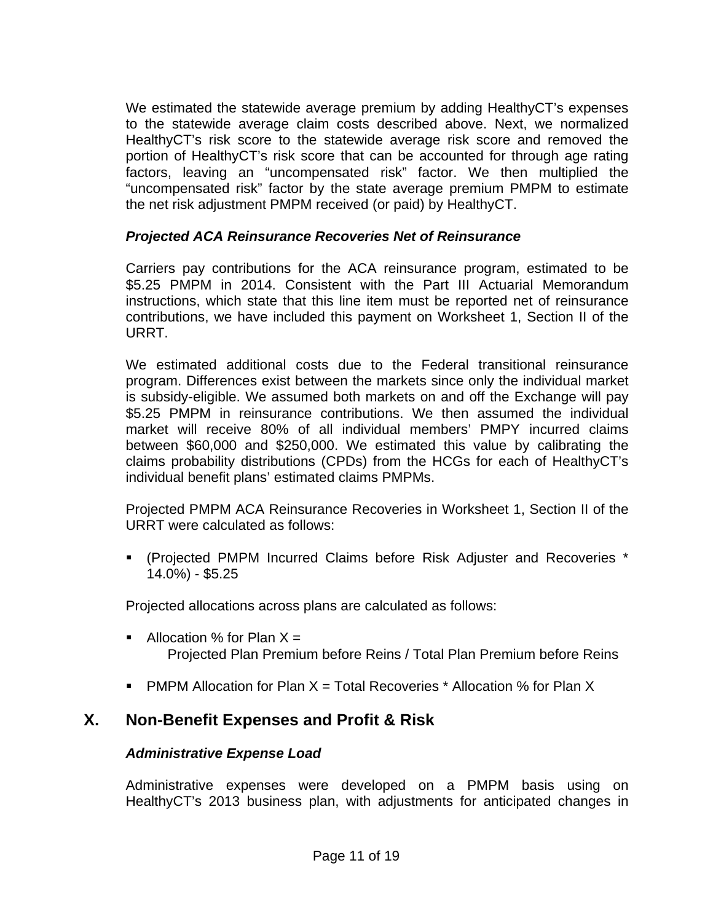We estimated the statewide average premium by adding HealthyCT's expenses to the statewide average claim costs described above. Next, we normalized HealthyCT's risk score to the statewide average risk score and removed the portion of HealthyCT's risk score that can be accounted for through age rating factors, leaving an "uncompensated risk" factor. We then multiplied the "uncompensated risk" factor by the state average premium PMPM to estimate the net risk adjustment PMPM received (or paid) by HealthyCT.

## *Projected ACA Reinsurance Recoveries Net of Reinsurance*

Carriers pay contributions for the ACA reinsurance program, estimated to be \$5.25 PMPM in 2014. Consistent with the Part III Actuarial Memorandum instructions, which state that this line item must be reported net of reinsurance contributions, we have included this payment on Worksheet 1, Section II of the URRT.

We estimated additional costs due to the Federal transitional reinsurance program. Differences exist between the markets since only the individual market is subsidy-eligible. We assumed both markets on and off the Exchange will pay \$5.25 PMPM in reinsurance contributions. We then assumed the individual market will receive 80% of all individual members' PMPY incurred claims between \$60,000 and \$250,000. We estimated this value by calibrating the claims probability distributions (CPDs) from the HCGs for each of HealthyCT's individual benefit plans' estimated claims PMPMs.

Projected PMPM ACA Reinsurance Recoveries in Worksheet 1, Section II of the URRT were calculated as follows:

 (Projected PMPM Incurred Claims before Risk Adjuster and Recoveries \* 14.0%) - \$5.25

Projected allocations across plans are calculated as follows:

- Allocation % for Plan  $X =$ Projected Plan Premium before Reins / Total Plan Premium before Reins
- **PMPM Allocation for Plan X = Total Recoveries \* Allocation % for Plan X**

# **X. Non-Benefit Expenses and Profit & Risk**

# *Administrative Expense Load*

Administrative expenses were developed on a PMPM basis using on HealthyCT's 2013 business plan, with adjustments for anticipated changes in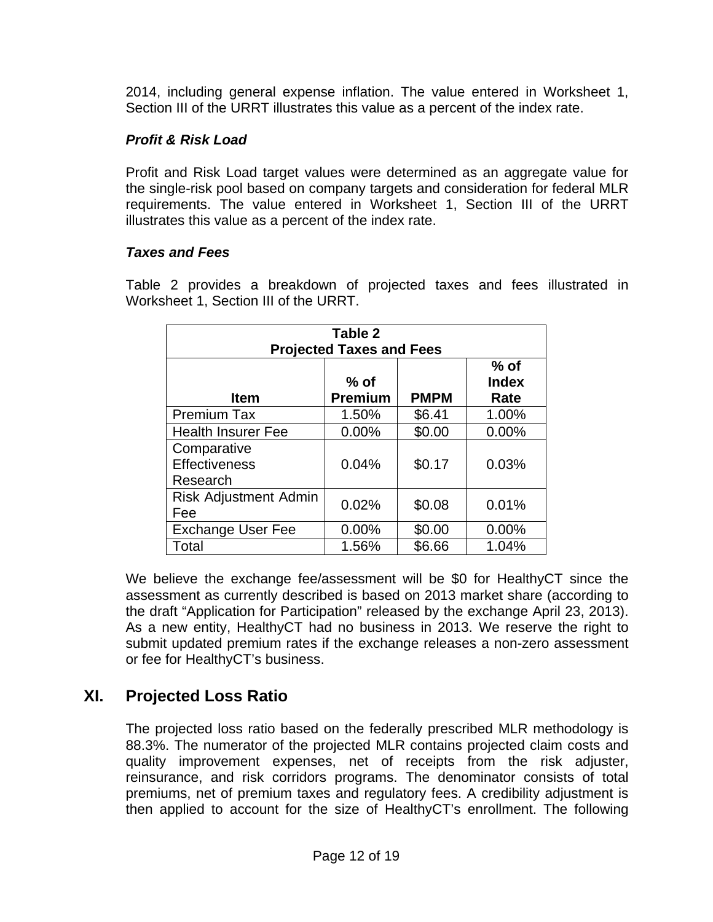2014, including general expense inflation. The value entered in Worksheet 1, Section III of the URRT illustrates this value as a percent of the index rate.

# *Profit & Risk Load*

Profit and Risk Load target values were determined as an aggregate value for the single-risk pool based on company targets and consideration for federal MLR requirements. The value entered in Worksheet 1, Section III of the URRT illustrates this value as a percent of the index rate.

# *Taxes and Fees*

Table 2 provides a breakdown of projected taxes and fees illustrated in Worksheet 1, Section III of the URRT.

| Table 2<br><b>Projected Taxes and Fees</b>      |                          |             |                                |  |  |  |
|-------------------------------------------------|--------------------------|-------------|--------------------------------|--|--|--|
| <b>Item</b>                                     | $%$ of<br><b>Premium</b> | <b>PMPM</b> | $%$ of<br><b>Index</b><br>Rate |  |  |  |
| <b>Premium Tax</b>                              | 1.50%                    | \$6.41      | 1.00%                          |  |  |  |
| <b>Health Insurer Fee</b>                       | 0.00%                    | \$0.00      | 0.00%                          |  |  |  |
| Comparative<br><b>Effectiveness</b><br>Research | 0.04%                    | \$0.17      | 0.03%                          |  |  |  |
| <b>Risk Adjustment Admin</b><br>Fee             | 0.02%                    | \$0.08      | 0.01%                          |  |  |  |
| <b>Exchange User Fee</b>                        | 0.00%                    | \$0.00      | $0.00\%$                       |  |  |  |
| Total                                           | 1.56%                    | \$6.66      | 1.04%                          |  |  |  |

We believe the exchange fee/assessment will be \$0 for HealthyCT since the assessment as currently described is based on 2013 market share (according to the draft "Application for Participation" released by the exchange April 23, 2013). As a new entity, HealthyCT had no business in 2013. We reserve the right to submit updated premium rates if the exchange releases a non-zero assessment or fee for HealthyCT's business.

# **XI. Projected Loss Ratio**

The projected loss ratio based on the federally prescribed MLR methodology is 88.3%. The numerator of the projected MLR contains projected claim costs and quality improvement expenses, net of receipts from the risk adjuster, reinsurance, and risk corridors programs. The denominator consists of total premiums, net of premium taxes and regulatory fees. A credibility adjustment is then applied to account for the size of HealthyCT's enrollment. The following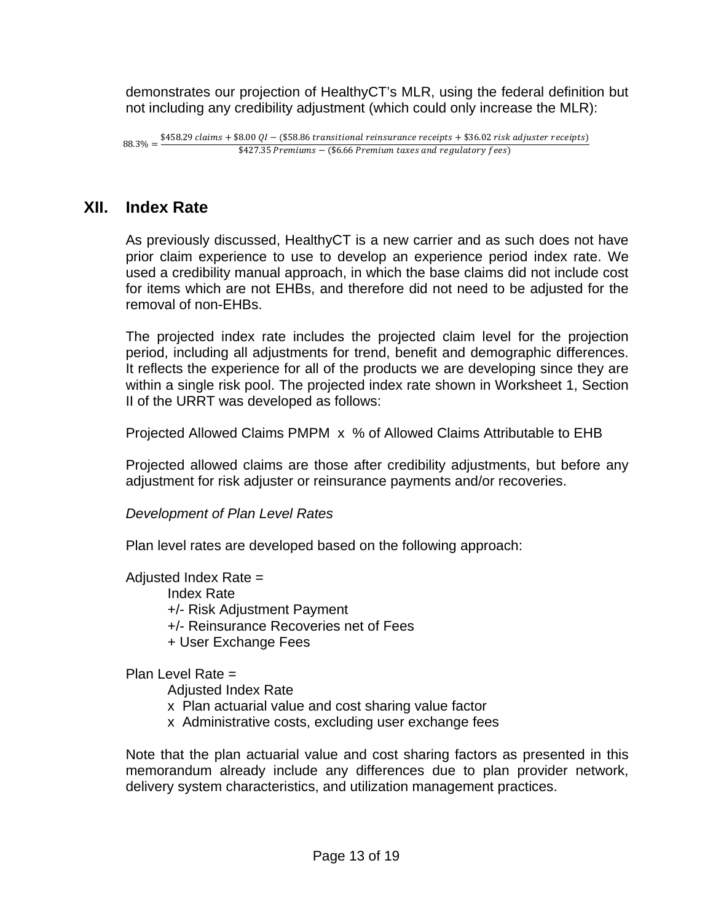demonstrates our projection of HealthyCT's MLR, using the federal definition but not including any credibility adjustment (which could only increase the MLR):

# **XII. Index Rate**

As previously discussed, HealthyCT is a new carrier and as such does not have prior claim experience to use to develop an experience period index rate. We used a credibility manual approach, in which the base claims did not include cost for items which are not EHBs, and therefore did not need to be adjusted for the removal of non-EHBs.

The projected index rate includes the projected claim level for the projection period, including all adjustments for trend, benefit and demographic differences. It reflects the experience for all of the products we are developing since they are within a single risk pool. The projected index rate shown in Worksheet 1, Section II of the URRT was developed as follows:

Projected Allowed Claims PMPM x % of Allowed Claims Attributable to EHB

Projected allowed claims are those after credibility adjustments, but before any adjustment for risk adjuster or reinsurance payments and/or recoveries.

 *Development of Plan Level Rates* 

Plan level rates are developed based on the following approach:

Adjusted Index Rate  $=$ Index Rate +/- Risk Adjustment Payment +/- Reinsurance Recoveries net of Fees + User Exchange Fees

Plan Level Rate =

Adjusted Index Rate

- x Plan actuarial value and cost sharing value factor
- x Administrative costs, excluding user exchange fees

Note that the plan actuarial value and cost sharing factors as presented in this memorandum already include any differences due to plan provider network, delivery system characteristics, and utilization management practices.

 $68.3\% = \frac{$458.29 \text{ claims} + $8.00 \text{ QI} - ($58.86 \text{ transitional reinsurance receipts} + $36.02 \text{ risk adjustment receipts}}{442.7 \text{ S} - $26.66 \text{ J} - $36.66 \text{ S} - $48.66 \text{ J}}$  $$427.35$  Premiums - (\$6.66 Premium taxes and regulatory fees)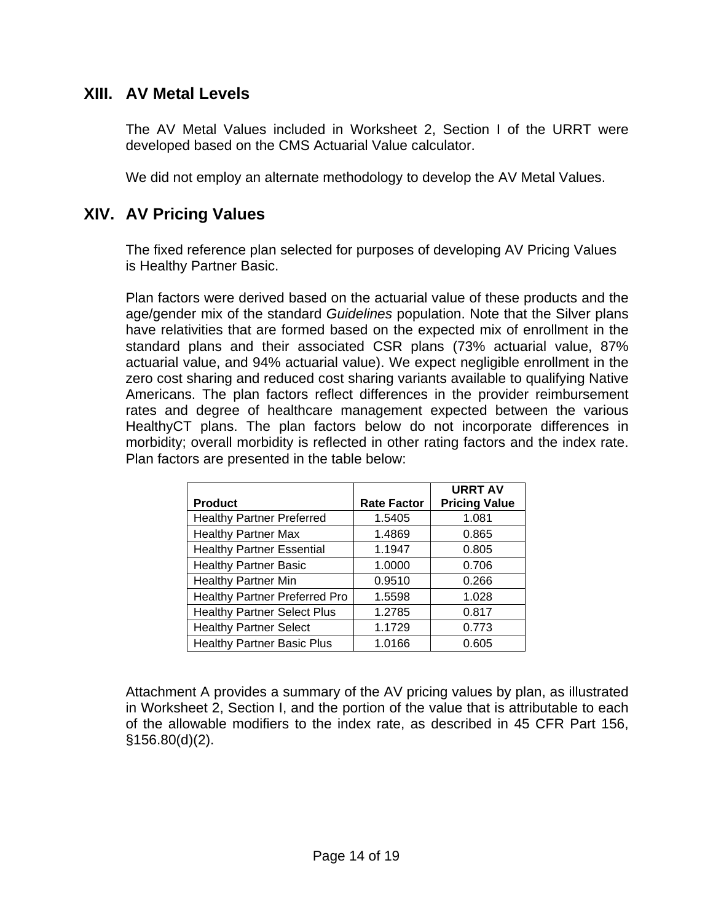# **XIII. AV Metal Levels**

The AV Metal Values included in Worksheet 2, Section I of the URRT were developed based on the CMS Actuarial Value calculator.

We did not employ an alternate methodology to develop the AV Metal Values.

# **XIV. AV Pricing Values**

The fixed reference plan selected for purposes of developing AV Pricing Values is Healthy Partner Basic.

Plan factors were derived based on the actuarial value of these products and the age/gender mix of the standard *Guidelines* population. Note that the Silver plans have relativities that are formed based on the expected mix of enrollment in the standard plans and their associated CSR plans (73% actuarial value, 87% actuarial value, and 94% actuarial value). We expect negligible enrollment in the zero cost sharing and reduced cost sharing variants available to qualifying Native Americans. The plan factors reflect differences in the provider reimbursement rates and degree of healthcare management expected between the various HealthyCT plans. The plan factors below do not incorporate differences in morbidity; overall morbidity is reflected in other rating factors and the index rate. Plan factors are presented in the table below:

|                                      |                    | <b>URRT AV</b>       |
|--------------------------------------|--------------------|----------------------|
| <b>Product</b>                       | <b>Rate Factor</b> | <b>Pricing Value</b> |
| <b>Healthy Partner Preferred</b>     | 1.5405             | 1.081                |
| <b>Healthy Partner Max</b>           | 1.4869             | 0.865                |
| <b>Healthy Partner Essential</b>     | 1.1947             | 0.805                |
| <b>Healthy Partner Basic</b>         | 1.0000             | 0.706                |
| <b>Healthy Partner Min</b>           | 0.9510             | 0.266                |
| <b>Healthy Partner Preferred Pro</b> | 1.5598             | 1.028                |
| <b>Healthy Partner Select Plus</b>   | 1.2785             | 0.817                |
| <b>Healthy Partner Select</b>        | 1.1729             | 0.773                |
| <b>Healthy Partner Basic Plus</b>    | 1.0166             | 0.605                |

Attachment A provides a summary of the AV pricing values by plan, as illustrated in Worksheet 2, Section I, and the portion of the value that is attributable to each of the allowable modifiers to the index rate, as described in 45 CFR Part 156, §156.80(d)(2).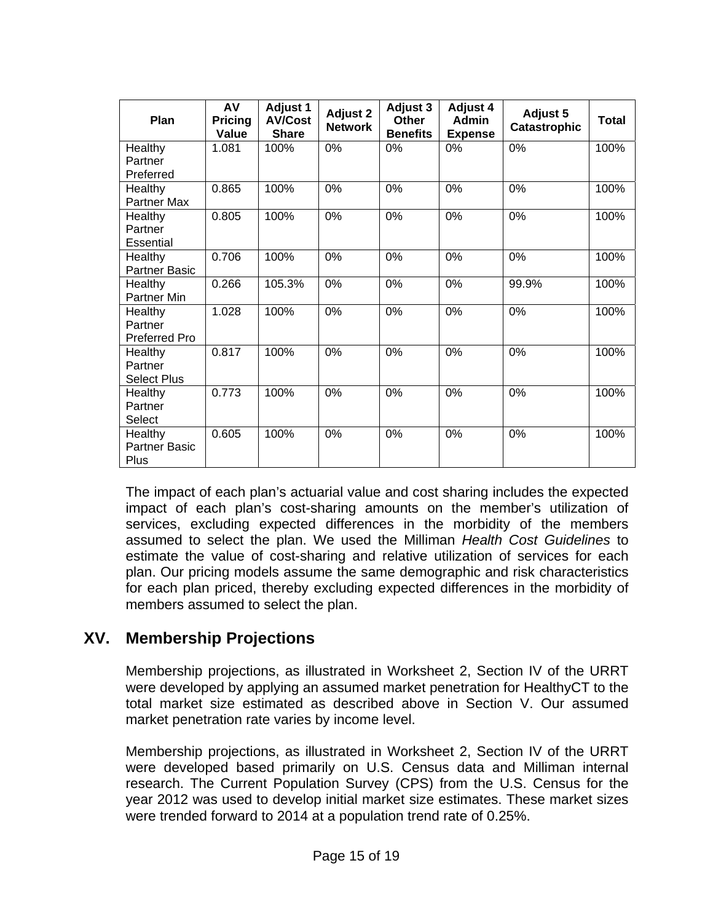| Plan                                       | AV<br><b>Pricing</b><br>Value | <b>Adjust 1</b><br><b>AV/Cost</b><br><b>Share</b> | <b>Adjust 2</b><br><b>Network</b> | <b>Adjust 3</b><br>Other<br><b>Benefits</b> | <b>Adjust 4</b><br><b>Admin</b><br><b>Expense</b> | <b>Adjust 5</b><br><b>Catastrophic</b> | <b>Total</b> |
|--------------------------------------------|-------------------------------|---------------------------------------------------|-----------------------------------|---------------------------------------------|---------------------------------------------------|----------------------------------------|--------------|
| Healthy<br>Partner<br>Preferred            | 1.081                         | 100%                                              | 0%                                | $0\%$                                       | 0%                                                | $0\%$                                  | 100%         |
| Healthy<br>Partner Max                     | 0.865                         | 100%                                              | 0%                                | 0%                                          | 0%                                                | 0%                                     | 100%         |
| Healthy<br>Partner<br>Essential            | 0.805                         | 100%                                              | 0%                                | 0%                                          | 0%                                                | 0%                                     | 100%         |
| Healthy<br><b>Partner Basic</b>            | 0.706                         | 100%                                              | 0%                                | 0%                                          | 0%                                                | 0%                                     | 100%         |
| Healthy<br>Partner Min                     | 0.266                         | 105.3%                                            | 0%                                | 0%                                          | 0%                                                | 99.9%                                  | 100%         |
| Healthy<br>Partner<br><b>Preferred Pro</b> | 1.028                         | 100%                                              | 0%                                | 0%                                          | 0%                                                | 0%                                     | 100%         |
| Healthy<br>Partner<br><b>Select Plus</b>   | 0.817                         | 100%                                              | 0%                                | 0%                                          | 0%                                                | 0%                                     | 100%         |
| Healthy<br>Partner<br>Select               | 0.773                         | 100%                                              | 0%                                | 0%                                          | 0%                                                | 0%                                     | 100%         |
| Healthy<br>Partner Basic<br>Plus           | 0.605                         | 100%                                              | 0%                                | 0%                                          | 0%                                                | 0%                                     | 100%         |

The impact of each plan's actuarial value and cost sharing includes the expected impact of each plan's cost-sharing amounts on the member's utilization of services, excluding expected differences in the morbidity of the members assumed to select the plan. We used the Milliman *Health Cost Guidelines* to estimate the value of cost-sharing and relative utilization of services for each plan. Our pricing models assume the same demographic and risk characteristics for each plan priced, thereby excluding expected differences in the morbidity of members assumed to select the plan.

# **XV. Membership Projections**

Membership projections, as illustrated in Worksheet 2, Section IV of the URRT were developed by applying an assumed market penetration for HealthyCT to the total market size estimated as described above in Section V. Our assumed market penetration rate varies by income level.

Membership projections, as illustrated in Worksheet 2, Section IV of the URRT were developed based primarily on U.S. Census data and Milliman internal research. The Current Population Survey (CPS) from the U.S. Census for the year 2012 was used to develop initial market size estimates. These market sizes were trended forward to 2014 at a population trend rate of 0.25%.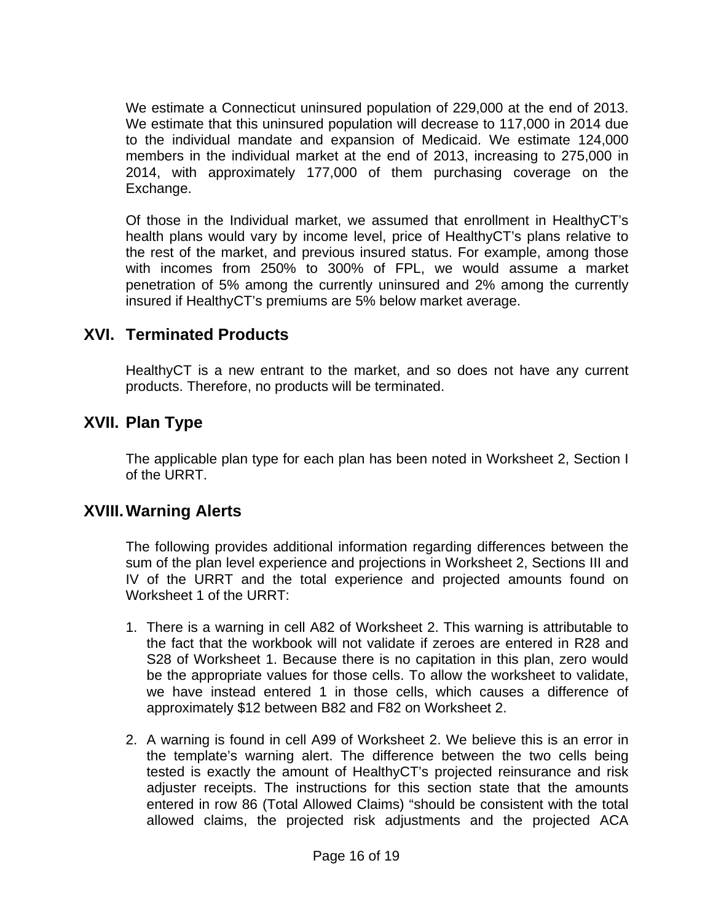We estimate a Connecticut uninsured population of 229,000 at the end of 2013. We estimate that this uninsured population will decrease to 117,000 in 2014 due to the individual mandate and expansion of Medicaid. We estimate 124,000 members in the individual market at the end of 2013, increasing to 275,000 in 2014, with approximately 177,000 of them purchasing coverage on the Exchange.

Of those in the Individual market, we assumed that enrollment in HealthyCT's health plans would vary by income level, price of HealthyCT's plans relative to the rest of the market, and previous insured status. For example, among those with incomes from 250% to 300% of FPL, we would assume a market penetration of 5% among the currently uninsured and 2% among the currently insured if HealthyCT's premiums are 5% below market average.

# **XVI. Terminated Products**

HealthyCT is a new entrant to the market, and so does not have any current products. Therefore, no products will be terminated.

# **XVII. Plan Type**

The applicable plan type for each plan has been noted in Worksheet 2, Section I of the URRT.

# **XVIII. Warning Alerts**

The following provides additional information regarding differences between the sum of the plan level experience and projections in Worksheet 2, Sections III and IV of the URRT and the total experience and projected amounts found on Worksheet 1 of the URRT:

- 1. There is a warning in cell A82 of Worksheet 2. This warning is attributable to the fact that the workbook will not validate if zeroes are entered in R28 and S28 of Worksheet 1. Because there is no capitation in this plan, zero would be the appropriate values for those cells. To allow the worksheet to validate, we have instead entered 1 in those cells, which causes a difference of approximately \$12 between B82 and F82 on Worksheet 2.
- 2. A warning is found in cell A99 of Worksheet 2. We believe this is an error in the template's warning alert. The difference between the two cells being tested is exactly the amount of HealthyCT's projected reinsurance and risk adjuster receipts. The instructions for this section state that the amounts entered in row 86 (Total Allowed Claims) "should be consistent with the total allowed claims, the projected risk adjustments and the projected ACA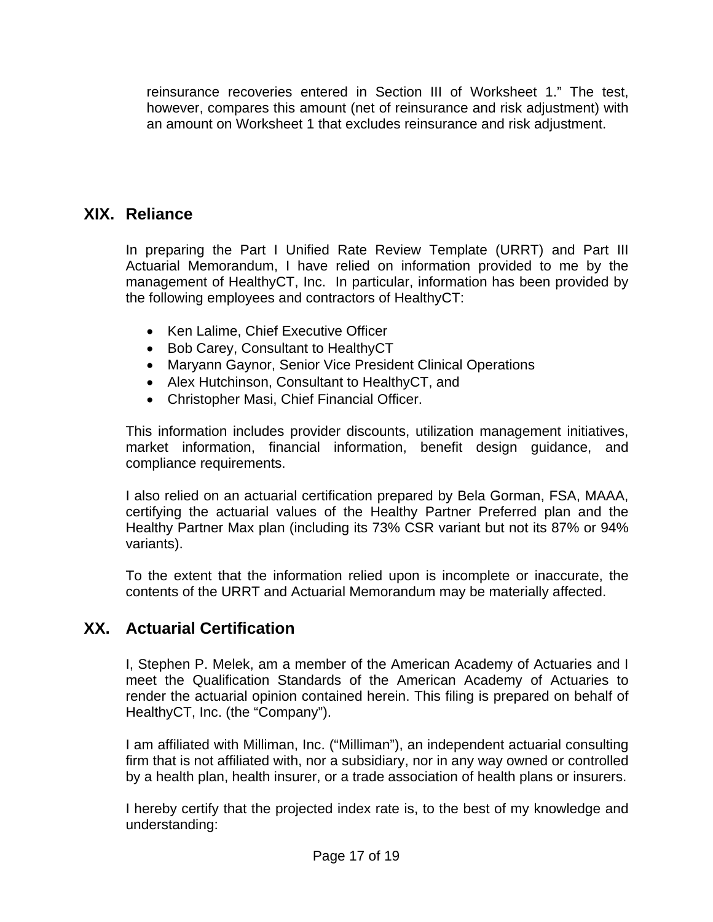reinsurance recoveries entered in Section III of Worksheet 1." The test, however, compares this amount (net of reinsurance and risk adjustment) with an amount on Worksheet 1 that excludes reinsurance and risk adjustment.

# **XIX. Reliance**

In preparing the Part I Unified Rate Review Template (URRT) and Part III Actuarial Memorandum, I have relied on information provided to me by the management of HealthyCT, Inc. In particular, information has been provided by the following employees and contractors of HealthyCT:

- Ken Lalime, Chief Executive Officer
- Bob Carey, Consultant to Healthy CT
- Maryann Gaynor, Senior Vice President Clinical Operations
- Alex Hutchinson, Consultant to HealthyCT, and
- Christopher Masi, Chief Financial Officer.

This information includes provider discounts, utilization management initiatives, market information, financial information, benefit design guidance, and compliance requirements.

I also relied on an actuarial certification prepared by Bela Gorman, FSA, MAAA, certifying the actuarial values of the Healthy Partner Preferred plan and the Healthy Partner Max plan (including its 73% CSR variant but not its 87% or 94% variants).

To the extent that the information relied upon is incomplete or inaccurate, the contents of the URRT and Actuarial Memorandum may be materially affected.

# **XX. Actuarial Certification**

I, Stephen P. Melek, am a member of the American Academy of Actuaries and I meet the Qualification Standards of the American Academy of Actuaries to render the actuarial opinion contained herein. This filing is prepared on behalf of HealthyCT, Inc. (the "Company").

I am affiliated with Milliman, Inc. ("Milliman"), an independent actuarial consulting firm that is not affiliated with, nor a subsidiary, nor in any way owned or controlled by a health plan, health insurer, or a trade association of health plans or insurers.

I hereby certify that the projected index rate is, to the best of my knowledge and understanding: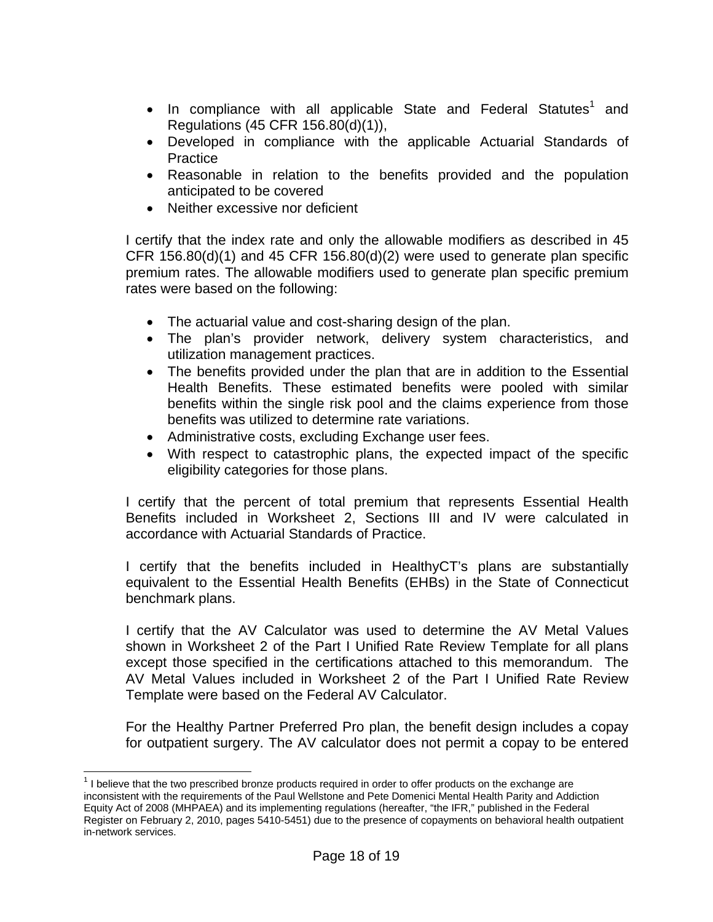- In compliance with all applicable State and Federal Statutes<sup>1</sup> and Regulations (45 CFR 156.80(d)(1)),
- Developed in compliance with the applicable Actuarial Standards of **Practice**
- Reasonable in relation to the benefits provided and the population anticipated to be covered
- Neither excessive nor deficient

I certify that the index rate and only the allowable modifiers as described in 45 CFR 156.80(d)(1) and 45 CFR 156.80(d)(2) were used to generate plan specific premium rates. The allowable modifiers used to generate plan specific premium rates were based on the following:

- The actuarial value and cost-sharing design of the plan.
- The plan's provider network, delivery system characteristics, and utilization management practices.
- The benefits provided under the plan that are in addition to the Essential Health Benefits. These estimated benefits were pooled with similar benefits within the single risk pool and the claims experience from those benefits was utilized to determine rate variations.
- Administrative costs, excluding Exchange user fees.
- With respect to catastrophic plans, the expected impact of the specific eligibility categories for those plans.

I certify that the percent of total premium that represents Essential Health Benefits included in Worksheet 2, Sections III and IV were calculated in accordance with Actuarial Standards of Practice.

I certify that the benefits included in HealthyCT's plans are substantially equivalent to the Essential Health Benefits (EHBs) in the State of Connecticut benchmark plans.

I certify that the AV Calculator was used to determine the AV Metal Values shown in Worksheet 2 of the Part I Unified Rate Review Template for all plans except those specified in the certifications attached to this memorandum. The AV Metal Values included in Worksheet 2 of the Part I Unified Rate Review Template were based on the Federal AV Calculator.

For the Healthy Partner Preferred Pro plan, the benefit design includes a copay for outpatient surgery. The AV calculator does not permit a copay to be entered

 $\overline{a}$ 

 $1$  I believe that the two prescribed bronze products required in order to offer products on the exchange are inconsistent with the requirements of the Paul Wellstone and Pete Domenici Mental Health Parity and Addiction Equity Act of 2008 (MHPAEA) and its implementing regulations (hereafter, "the IFR," published in the Federal Register on February 2, 2010, pages 5410-5451) due to the presence of copayments on behavioral health outpatient in-network services.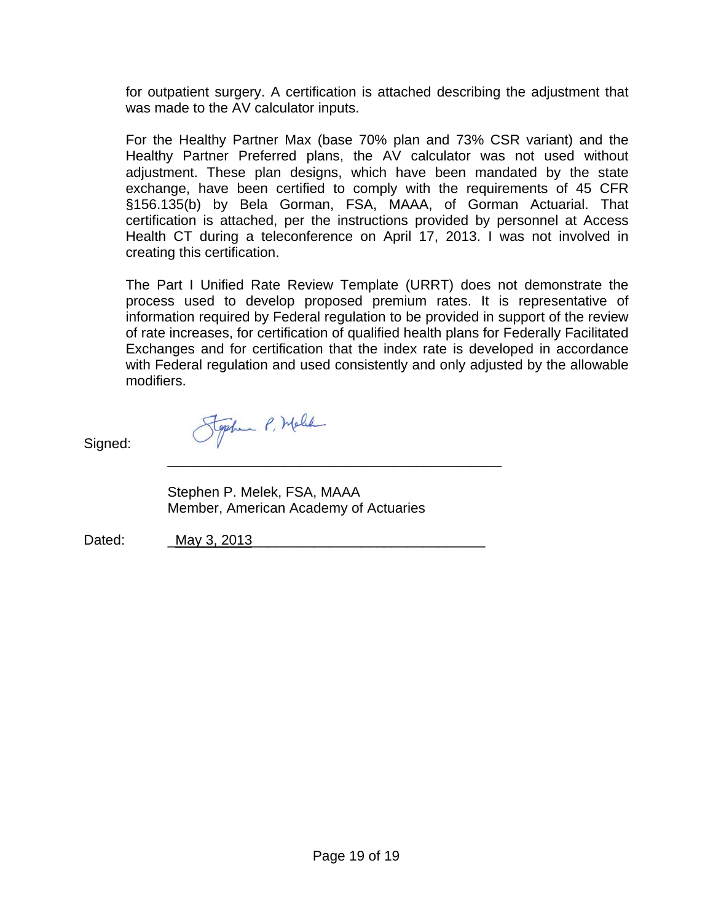for outpatient surgery. A certification is attached describing the adjustment that was made to the AV calculator inputs.

For the Healthy Partner Max (base 70% plan and 73% CSR variant) and the Healthy Partner Preferred plans, the AV calculator was not used without adjustment. These plan designs, which have been mandated by the state exchange, have been certified to comply with the requirements of 45 CFR §156.135(b) by Bela Gorman, FSA, MAAA, of Gorman Actuarial. That certification is attached, per the instructions provided by personnel at Access Health CT during a teleconference on April 17, 2013. I was not involved in creating this certification.

The Part I Unified Rate Review Template (URRT) does not demonstrate the process used to develop proposed premium rates. It is representative of information required by Federal regulation to be provided in support of the review of rate increases, for certification of qualified health plans for Federally Facilitated Exchanges and for certification that the index rate is developed in accordance with Federal regulation and used consistently and only adjusted by the allowable modifiers.

Signed:

\_\_\_\_\_\_\_\_\_\_\_\_\_\_\_\_\_\_\_\_\_\_\_\_\_\_\_\_\_\_\_\_\_\_\_\_\_\_\_\_\_\_\_ Stephen P. Melek, FSA, MAAA Member, American Academy of Actuaries

Stephen P. Melle

Dated: May 3, 2013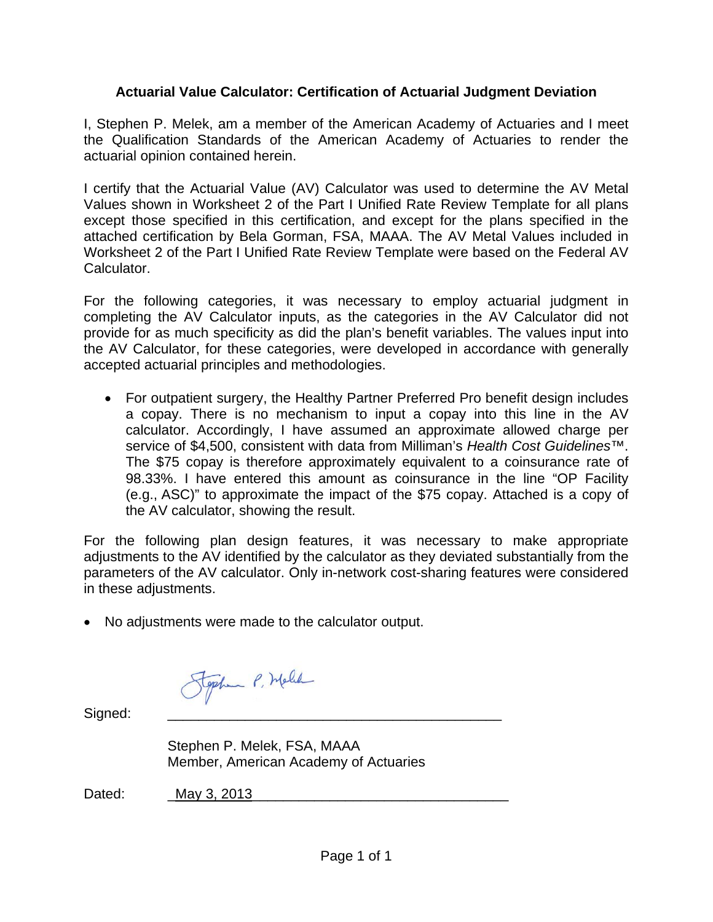# **Actuarial Value Calculator: Certification of Actuarial Judgment Deviation**

I, Stephen P. Melek, am a member of the American Academy of Actuaries and I meet the Qualification Standards of the American Academy of Actuaries to render the actuarial opinion contained herein.

I certify that the Actuarial Value (AV) Calculator was used to determine the AV Metal Values shown in Worksheet 2 of the Part I Unified Rate Review Template for all plans except those specified in this certification, and except for the plans specified in the attached certification by Bela Gorman, FSA, MAAA. The AV Metal Values included in Worksheet 2 of the Part I Unified Rate Review Template were based on the Federal AV Calculator.

For the following categories, it was necessary to employ actuarial judgment in completing the AV Calculator inputs, as the categories in the AV Calculator did not provide for as much specificity as did the plan's benefit variables. The values input into the AV Calculator, for these categories, were developed in accordance with generally accepted actuarial principles and methodologies.

 For outpatient surgery, the Healthy Partner Preferred Pro benefit design includes a copay. There is no mechanism to input a copay into this line in the AV calculator. Accordingly, I have assumed an approximate allowed charge per service of \$4,500, consistent with data from Milliman's *Health Cost Guidelines*™. The \$75 copay is therefore approximately equivalent to a coinsurance rate of 98.33%. I have entered this amount as coinsurance in the line "OP Facility (e.g., ASC)" to approximate the impact of the \$75 copay. Attached is a copy of the AV calculator, showing the result.

For the following plan design features, it was necessary to make appropriate adjustments to the AV identified by the calculator as they deviated substantially from the parameters of the AV calculator. Only in-network cost-sharing features were considered in these adjustments.

No adjustments were made to the calculator output.

Stephen P. Melle

Signed:

Stephen P. Melek, FSA, MAAA Member, American Academy of Actuaries

Dated: May 3, 2013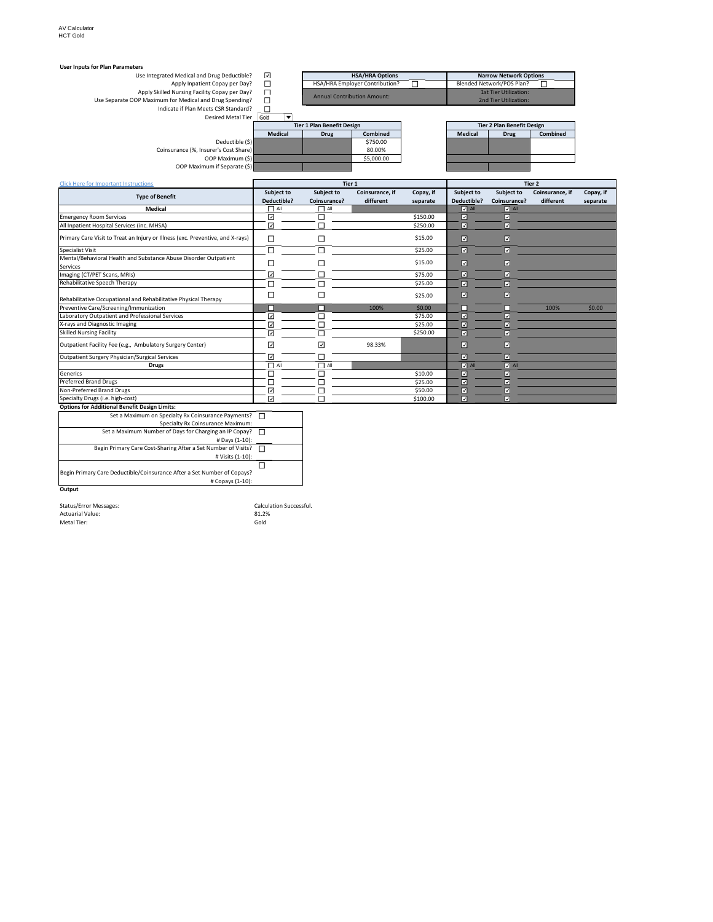#### **User Inputs for Plan Parameters HSA/HRA Options**<br>
Narrow Network Options<br>
Blended Network/POS Plan? nd Drug Deductible?<br>
Eient Copay per Day?<br>
Eility Copay per Day?<br>
and Drug Spending?<br>  $\Box$ <br>
Meets CSR Standard?<br>
Desired Metal Tier Use Integrated Medical and Drug Deductible? Apply Inpatient Copay per Day? 
<br>Apply Skilled Nursing Facility Copay per Day? 
<br>Use Separate OOP Maximum for Medical and Drug Spending? 
Use Separate OOP Maximum for Medical and Drug Spending? 
<br>
1st Tier Utilization:<br>
1n 1st Tier Utilization Annual Contribution Amount: 2nd Tier Utilization:  $\blacktriangledown$ **Tier 1 Plan Benefit Design Tier 2 Plan Benefit Design Medical Drug Combined Medical Drug Combined**<br>5750.00 Deductible (\$)<br>
er's Cost Share) 5750.00<br>
80.00% 80.00% Coinsurance (%, Insurer's Cost Share)<br>
OOP Maximum (\$) 80.00% 80.00000 OOP Maximum if Separate (\$)

| <b>Click Here for Important Instructions</b>                                   |                          | Tier 2       |                 |           |                 |                    |                 |           |
|--------------------------------------------------------------------------------|--------------------------|--------------|-----------------|-----------|-----------------|--------------------|-----------------|-----------|
| <b>Type of Benefit</b>                                                         | Subject to               | Subject to   | Coinsurance, if | Copay, if | Subject to      | Subject to         | Coinsurance, if | Copay, if |
|                                                                                | Deductible?              | Coinsurance? | different       | separate  | Deductible?     | Coinsurance?       | different       | separate  |
| <b>Medical</b>                                                                 | $\Box$ All               | $\Box$ All   |                 |           | $\nabla$ All    | $\sqrt{ }$ All     |                 |           |
| <b>Emergency Room Services</b>                                                 | ☑                        |              |                 | \$150.00  | ☑               | ⊡                  |                 |           |
| All Inpatient Hospital Services (inc. MHSA)                                    | ☑                        |              |                 | \$250.00  | 冈               | ☑                  |                 |           |
| Primary Care Visit to Treat an Injury or Illness (exc. Preventive, and X-rays) | $\Box$                   |              |                 | \$15.00   | $\boxdot$       | ☑                  |                 |           |
| Specialist Visit                                                               | $\Box$                   |              |                 | \$25.00   | $\boxdot$       | ☑                  |                 |           |
| Mental/Behavioral Health and Substance Abuse Disorder Outpatient               |                          |              |                 | \$15.00   |                 |                    |                 |           |
| Services                                                                       | □                        |              |                 |           | ☑               | ☑                  |                 |           |
| Imaging (CT/PET Scans, MRIs)                                                   | ☑                        |              |                 | \$75.00   | ☑               | ☑                  |                 |           |
| Rehabilitative Speech Therapy                                                  | П                        |              |                 | \$25.00   | 図               | ⊡                  |                 |           |
| Rehabilitative Occupational and Rehabilitative Physical Therapy                | □                        |              |                 | \$25.00   | ☑               | ☑                  |                 |           |
| Preventive Care/Screening/Immunization                                         | П                        |              | 100%            | \$0.00    | □               |                    | 100%            | \$0.00    |
| Laboratory Outpatient and Professional Services                                | ☑                        |              |                 | \$75.00   | ☑               | ⊽                  |                 |           |
| X-rays and Diagnostic Imaging                                                  | $\overline{\phantom{0}}$ |              |                 | \$25.00   | ☑               | ⊽                  |                 |           |
| <b>Skilled Nursing Facility</b>                                                | ☑                        |              |                 | \$250.00  | $\overline{z}$  | ⊡                  |                 |           |
| Outpatient Facility Fee (e.g., Ambulatory Surgery Center)                      | ☑                        | ☑            | 98.33%          |           | ☑               | ☑                  |                 |           |
| Outpatient Surgery Physician/Surgical Services                                 | ☑                        |              |                 |           | ☑               | ☑                  |                 |           |
| <b>Drugs</b>                                                                   | $\Box$ All               | $\Box$ All   |                 |           | $\boxed{v}$ All | $\overline{v}$ All |                 |           |
| Generics                                                                       | П                        |              |                 | \$10.00   | ☑               | ☑                  |                 |           |
| <b>Preferred Brand Drugs</b>                                                   |                          |              |                 | \$25.00   | ☑               | ◡                  |                 |           |
| Non-Preferred Brand Drugs                                                      | ☑                        |              |                 | \$50.00   | ☑               | ☑                  |                 |           |
| Specialty Drugs (i.e. high-cost)                                               | ☑                        |              |                 | \$100.00  | 冈               | ☑                  |                 |           |
| <b>Options for Additional Benefit Design Limits:</b>                           |                          |              |                 |           |                 |                    |                 |           |

**Options for Additional Benefit Design Limits:** Set a Maximum on Specialty Rx Coinsurance Payments? Specialty Rx Coinsurance Maximum: Set a Maximum Number of Days for Charging an IP Copay? # Days (1‐10): Begin Primary Care Cost-Sharing After a Set Number of Visits? □ # Visits (1‐10):  $\Box$ Begin Primary Care Deductible/Coinsurance After a Set Number of Copays? # Copays (1‐10): **Output**

Status/Error Messages: Calculation Successful.<br>
Actuarial Value: 2012 12:28 2012 12:28 2012 12:28 Actuarial Value:<br>
Actuarial Value: 81.2%<br>
Metal Tier: 60 Metal Tier: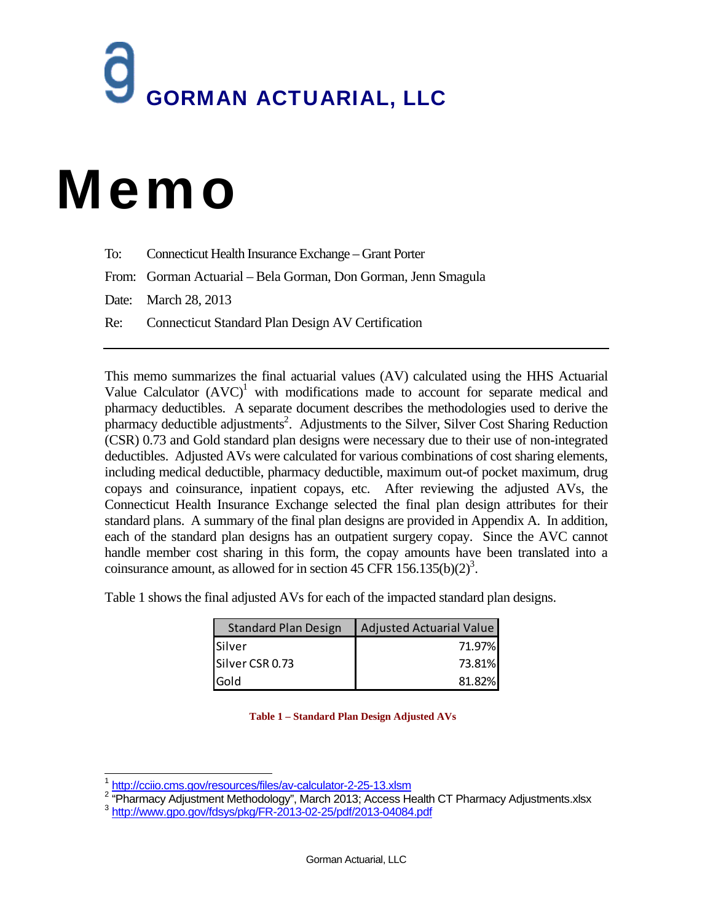# GORMAN ACTUARIAL, LLC

# Memo

To: Connecticut Health Insurance Exchange – Grant Porter

From: Gorman Actuarial – Bela Gorman, Don Gorman, Jenn Smagula

Date: March 28, 2013

Re: Connecticut Standard Plan Design AV Certification

This memo summarizes the final actuarial values (AV) calculated using the HHS Actuarial Value Calculator  $(AVC)^1$  with modifications made to account for separate medical and pharmacy deductibles. A separate document describes the methodologies used to derive the pharmacy deductible adjustments<sup>2</sup>. Adjustments to the Silver, Silver Cost Sharing Reduction (CSR) 0.73 and Gold standard plan designs were necessary due to their use of non-integrated deductibles. Adjusted AVs were calculated for various combinations of cost sharing elements, including medical deductible, pharmacy deductible, maximum out-of pocket maximum, drug copays and coinsurance, inpatient copays, etc. After reviewing the adjusted AVs, the Connecticut Health Insurance Exchange selected the final plan design attributes for their standard plans. A summary of the final plan designs are provided in Appendix A. In addition, each of the standard plan designs has an outpatient surgery copay. Since the AVC cannot handle member cost sharing in this form, the copay amounts have been translated into a coinsurance amount, as allowed for in section 45 CFR  $156.135(b)(2)^3$ .

Table 1 shows the final adjusted AVs for each of the impacted standard plan designs.

| <b>Standard Plan Design</b> | Adjusted Actuarial Value |
|-----------------------------|--------------------------|
| <b>Silver</b>               | 71.97%                   |
| Silver CSR 0.73             | 73.81%                   |
| <b>Gold</b>                 | 81.82%                   |

**Table 1 – Standard Plan Design Adjusted AVs** 

l 1 http://cciio.cms.gov/resources/files/av-calculator-2-25-13.xlsm<br><sup>2</sup> "Rhormooy Adjustment Methodelogy", Merch 2012; Access H

<sup>2 &</sup>quot;Rharmacy Adjustment Methodology", March 2013; Access Health CT Pharmacy Adjustments.xlsx 3 http://www.gpo.gov/fdsys/pkg/FR-2013-02-25/pdf/2013-04084.pdf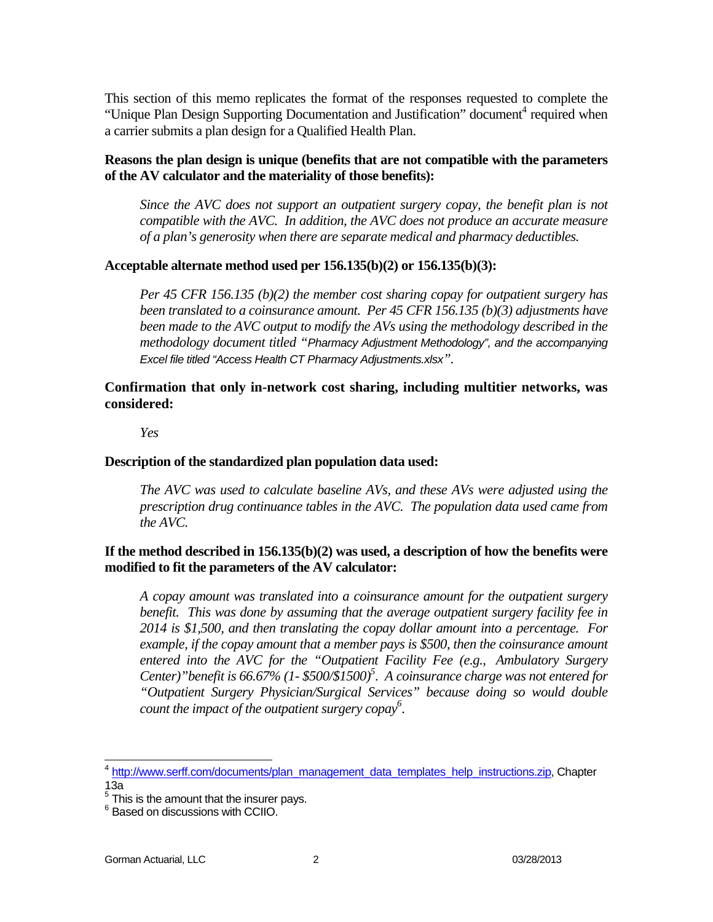This section of this memo replicates the format of the responses requested to complete the "Unique Plan Design Supporting Documentation and Justification" document<sup>4</sup> required when a carrier submits a plan design for a Qualified Health Plan.

#### **Reasons the plan design is unique (benefits that are not compatible with the parameters of the AV calculator and the materiality of those benefits):**

*Since the AVC does not support an outpatient surgery copay, the benefit plan is not compatible with the AVC. In addition, the AVC does not produce an accurate measure of a plan's generosity when there are separate medical and pharmacy deductibles.* 

#### **Acceptable alternate method used per 156.135(b)(2) or 156.135(b)(3):**

*Per 45 CFR 156.135 (b)(2) the member cost sharing copay for outpatient surgery has been translated to a coinsurance amount. Per 45 CFR 156.135 (b)(3) adjustments have been made to the AVC output to modify the AVs using the methodology described in the methodology document titled "Pharmacy Adjustment Methodology", and the accompanying Excel file titled "Access Health CT Pharmacy Adjustments.xlsx".* 

**Confirmation that only in-network cost sharing, including multitier networks, was considered:** 

*Yes* 

#### **Description of the standardized plan population data used:**

*The AVC was used to calculate baseline AVs, and these AVs were adjusted using the prescription drug continuance tables in the AVC. The population data used came from the AVC.* 

#### **If the method described in 156.135(b)(2) was used, a description of how the benefits were modified to fit the parameters of the AV calculator:**

*A copay amount was translated into a coinsurance amount for the outpatient surgery benefit. This was done by assuming that the average outpatient surgery facility fee in 2014 is \$1,500, and then translating the copay dollar amount into a percentage. For example, if the copay amount that a member pays is \$500, then the coinsurance amount entered into the AVC for the "Outpatient Facility Fee (e.g., Ambulatory Surgery*  Center)" benefit is 66.67% (1- \$500/\$1500)<sup>5</sup>. A coinsurance charge was not entered for *"Outpatient Surgery Physician/Surgical Services" because doing so would double count the impact of the outpatient surgery copay6 .* 

j <sup>4</sup> http://www.serff.com/documents/plan\_management\_data\_templates\_help\_instructions.zip, Chapter 13a

 $<sup>5</sup>$  This is the amount that the insurer pays.</sup>

 $^6$  Based on discussions with CCIIO.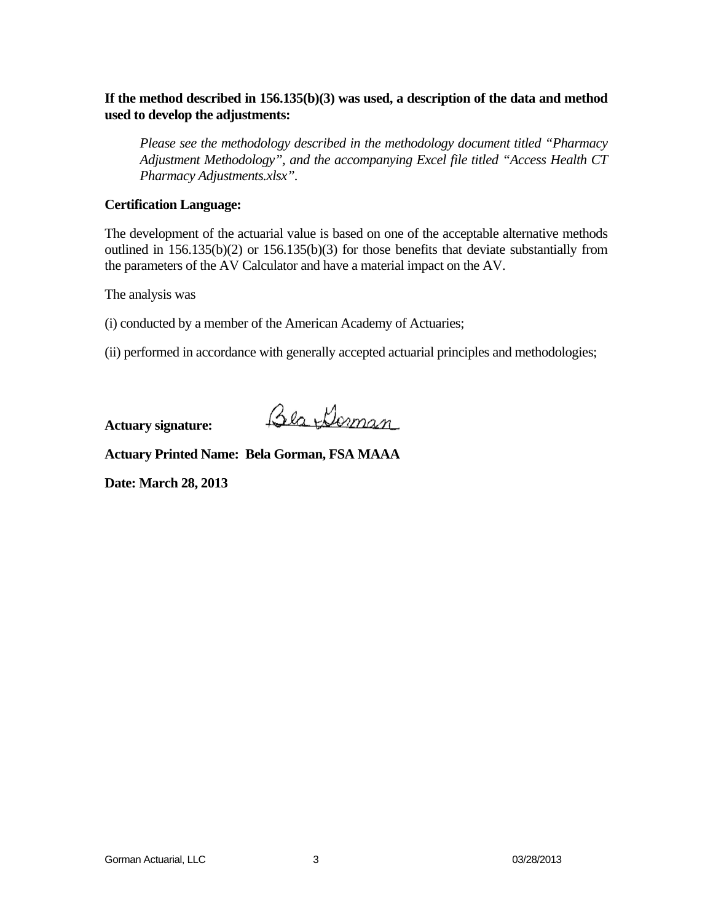#### **If the method described in 156.135(b)(3) was used, a description of the data and method used to develop the adjustments:**

*Please see the methodology described in the methodology document titled "Pharmacy Adjustment Methodology", and the accompanying Excel file titled "Access Health CT Pharmacy Adjustments.xlsx".* 

#### **Certification Language:**

The development of the actuarial value is based on one of the acceptable alternative methods outlined in 156.135(b)(2) or 156.135(b)(3) for those benefits that deviate substantially from the parameters of the AV Calculator and have a material impact on the AV.

The analysis was

(i) conducted by a member of the American Academy of Actuaries;

(ii) performed in accordance with generally accepted actuarial principles and methodologies;

**Actuary signature:** 

Bla Doman

**Actuary Printed Name: Bela Gorman, FSA MAAA** 

**Date: March 28, 2013**